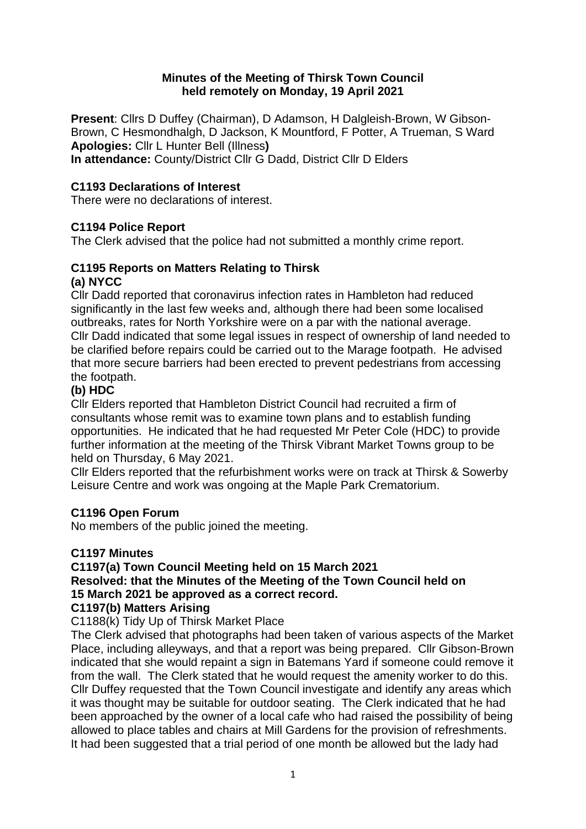### **Minutes of the Meeting of Thirsk Town Council held remotely on Monday, 19 April 2021**

**Present**: Cllrs D Duffey (Chairman), D Adamson, H Dalgleish-Brown, W Gibson-Brown, C Hesmondhalgh, D Jackson, K Mountford, F Potter, A Trueman, S Ward **Apologies:** Cllr L Hunter Bell (Illness**)**

**In attendance:** County/District Cllr G Dadd, District Cllr D Elders

### **C1193 Declarations of Interest**

There were no declarations of interest.

### **C1194 Police Report**

The Clerk advised that the police had not submitted a monthly crime report.

#### **C1195 Reports on Matters Relating to Thirsk (a) NYCC**

Cllr Dadd reported that coronavirus infection rates in Hambleton had reduced significantly in the last few weeks and, although there had been some localised outbreaks, rates for North Yorkshire were on a par with the national average. Cllr Dadd indicated that some legal issues in respect of ownership of land needed to be clarified before repairs could be carried out to the Marage footpath. He advised that more secure barriers had been erected to prevent pedestrians from accessing the footpath.

### **(b) HDC**

Cllr Elders reported that Hambleton District Council had recruited a firm of consultants whose remit was to examine town plans and to establish funding opportunities. He indicated that he had requested Mr Peter Cole (HDC) to provide further information at the meeting of the Thirsk Vibrant Market Towns group to be held on Thursday, 6 May 2021.

Cllr Elders reported that the refurbishment works were on track at Thirsk & Sowerby Leisure Centre and work was ongoing at the Maple Park Crematorium.

### **C1196 Open Forum**

No members of the public joined the meeting.

### **C1197 Minutes**

### **C1197(a) Town Council Meeting held on 15 March 2021**

#### **Resolved: that the Minutes of the Meeting of the Town Council held on 15 March 2021 be approved as a correct record.**

### **C1197(b) Matters Arising**

C1188(k) Tidy Up of Thirsk Market Place

The Clerk advised that photographs had been taken of various aspects of the Market Place, including alleyways, and that a report was being prepared. Cllr Gibson-Brown indicated that she would repaint a sign in Batemans Yard if someone could remove it from the wall. The Clerk stated that he would request the amenity worker to do this. Cllr Duffey requested that the Town Council investigate and identify any areas which it was thought may be suitable for outdoor seating. The Clerk indicated that he had been approached by the owner of a local cafe who had raised the possibility of being allowed to place tables and chairs at Mill Gardens for the provision of refreshments. It had been suggested that a trial period of one month be allowed but the lady had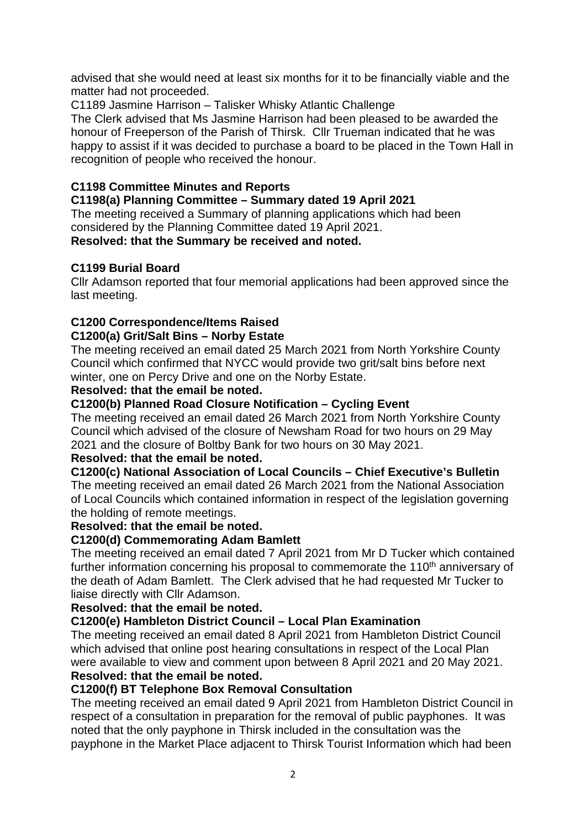advised that she would need at least six months for it to be financially viable and the matter had not proceeded.

C1189 Jasmine Harrison – Talisker Whisky Atlantic Challenge

The Clerk advised that Ms Jasmine Harrison had been pleased to be awarded the honour of Freeperson of the Parish of Thirsk. Cllr Trueman indicated that he was happy to assist if it was decided to purchase a board to be placed in the Town Hall in recognition of people who received the honour.

# **C1198 Committee Minutes and Reports**

### **C1198(a) Planning Committee – Summary dated 19 April 2021**

The meeting received a Summary of planning applications which had been considered by the Planning Committee dated 19 April 2021. **Resolved: that the Summary be received and noted.**

### **C1199 Burial Board**

Cllr Adamson reported that four memorial applications had been approved since the last meeting.

# **C1200 Correspondence/Items Raised**

### **C1200(a) Grit/Salt Bins – Norby Estate**

The meeting received an email dated 25 March 2021 from North Yorkshire County Council which confirmed that NYCC would provide two grit/salt bins before next winter, one on Percy Drive and one on the Norby Estate.

### **Resolved: that the email be noted.**

### **C1200(b) Planned Road Closure Notification – Cycling Event**

The meeting received an email dated 26 March 2021 from North Yorkshire County Council which advised of the closure of Newsham Road for two hours on 29 May 2021 and the closure of Boltby Bank for two hours on 30 May 2021.

### **Resolved: that the email be noted.**

### **C1200(c) National Association of Local Councils – Chief Executive's Bulletin**

The meeting received an email dated 26 March 2021 from the National Association of Local Councils which contained information in respect of the legislation governing the holding of remote meetings.

### **Resolved: that the email be noted.**

### **C1200(d) Commemorating Adam Bamlett**

The meeting received an email dated 7 April 2021 from Mr D Tucker which contained further information concerning his proposal to commemorate the 110<sup>th</sup> anniversary of the death of Adam Bamlett. The Clerk advised that he had requested Mr Tucker to liaise directly with Cllr Adamson.

### **Resolved: that the email be noted.**

### **C1200(e) Hambleton District Council – Local Plan Examination**

The meeting received an email dated 8 April 2021 from Hambleton District Council which advised that online post hearing consultations in respect of the Local Plan were available to view and comment upon between 8 April 2021 and 20 May 2021. **Resolved: that the email be noted.** 

### **C1200(f) BT Telephone Box Removal Consultation**

The meeting received an email dated 9 April 2021 from Hambleton District Council in respect of a consultation in preparation for the removal of public payphones. It was noted that the only payphone in Thirsk included in the consultation was the payphone in the Market Place adjacent to Thirsk Tourist Information which had been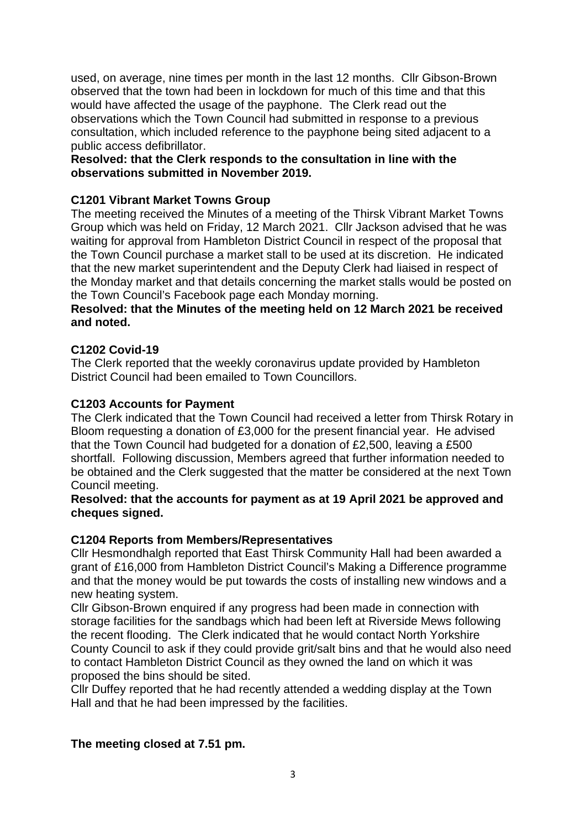used, on average, nine times per month in the last 12 months. Cllr Gibson-Brown observed that the town had been in lockdown for much of this time and that this would have affected the usage of the payphone. The Clerk read out the observations which the Town Council had submitted in response to a previous consultation, which included reference to the payphone being sited adjacent to a public access defibrillator.

#### **Resolved: that the Clerk responds to the consultation in line with the observations submitted in November 2019.**

### **C1201 Vibrant Market Towns Group**

The meeting received the Minutes of a meeting of the Thirsk Vibrant Market Towns Group which was held on Friday, 12 March 2021. Cllr Jackson advised that he was waiting for approval from Hambleton District Council in respect of the proposal that the Town Council purchase a market stall to be used at its discretion. He indicated that the new market superintendent and the Deputy Clerk had liaised in respect of the Monday market and that details concerning the market stalls would be posted on the Town Council's Facebook page each Monday morning.

### **Resolved: that the Minutes of the meeting held on 12 March 2021 be received and noted.**

### **C1202 Covid-19**

The Clerk reported that the weekly coronavirus update provided by Hambleton District Council had been emailed to Town Councillors.

### **C1203 Accounts for Payment**

The Clerk indicated that the Town Council had received a letter from Thirsk Rotary in Bloom requesting a donation of £3,000 for the present financial year. He advised that the Town Council had budgeted for a donation of £2,500, leaving a £500 shortfall. Following discussion, Members agreed that further information needed to be obtained and the Clerk suggested that the matter be considered at the next Town Council meeting.

#### **Resolved: that the accounts for payment as at 19 April 2021 be approved and cheques signed.**

### **C1204 Reports from Members/Representatives**

Cllr Hesmondhalgh reported that East Thirsk Community Hall had been awarded a grant of £16,000 from Hambleton District Council's Making a Difference programme and that the money would be put towards the costs of installing new windows and a new heating system.

Cllr Gibson-Brown enquired if any progress had been made in connection with storage facilities for the sandbags which had been left at Riverside Mews following the recent flooding. The Clerk indicated that he would contact North Yorkshire County Council to ask if they could provide grit/salt bins and that he would also need to contact Hambleton District Council as they owned the land on which it was proposed the bins should be sited.

Cllr Duffey reported that he had recently attended a wedding display at the Town Hall and that he had been impressed by the facilities.

### **The meeting closed at 7.51 pm.**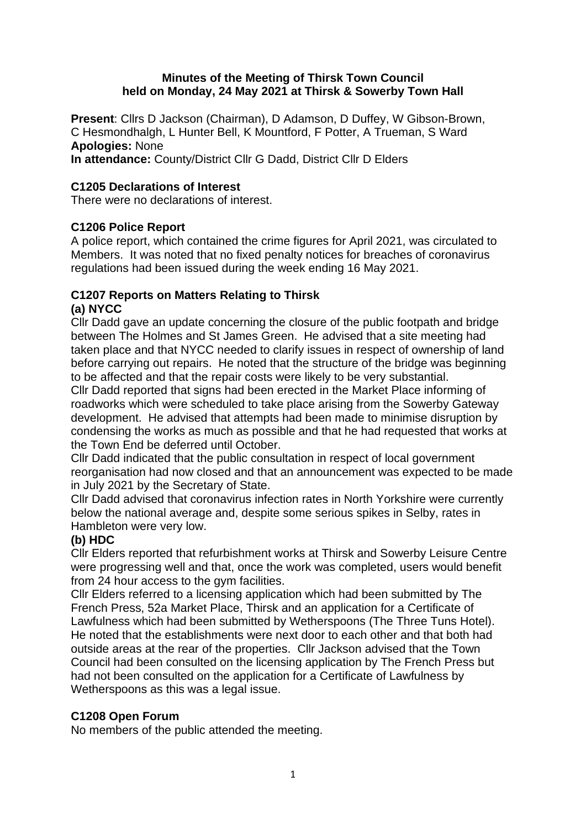### **Minutes of the Meeting of Thirsk Town Council held on Monday, 24 May 2021 at Thirsk & Sowerby Town Hall**

**Present**: Cllrs D Jackson (Chairman), D Adamson, D Duffey, W Gibson-Brown, C Hesmondhalgh, L Hunter Bell, K Mountford, F Potter, A Trueman, S Ward **Apologies:** None

**In attendance:** County/District Cllr G Dadd, District Cllr D Elders

### **C1205 Declarations of Interest**

There were no declarations of interest.

### **C1206 Police Report**

A police report, which contained the crime figures for April 2021, was circulated to Members. It was noted that no fixed penalty notices for breaches of coronavirus regulations had been issued during the week ending 16 May 2021.

#### **C1207 Reports on Matters Relating to Thirsk (a) NYCC**

Cllr Dadd gave an update concerning the closure of the public footpath and bridge between The Holmes and St James Green. He advised that a site meeting had taken place and that NYCC needed to clarify issues in respect of ownership of land before carrying out repairs. He noted that the structure of the bridge was beginning to be affected and that the repair costs were likely to be very substantial.

Cllr Dadd reported that signs had been erected in the Market Place informing of roadworks which were scheduled to take place arising from the Sowerby Gateway development. He advised that attempts had been made to minimise disruption by condensing the works as much as possible and that he had requested that works at the Town End be deferred until October.

Cllr Dadd indicated that the public consultation in respect of local government reorganisation had now closed and that an announcement was expected to be made in July 2021 by the Secretary of State.

Cllr Dadd advised that coronavirus infection rates in North Yorkshire were currently below the national average and, despite some serious spikes in Selby, rates in Hambleton were very low.

### **(b) HDC**

Cllr Elders reported that refurbishment works at Thirsk and Sowerby Leisure Centre were progressing well and that, once the work was completed, users would benefit from 24 hour access to the gym facilities.

Cllr Elders referred to a licensing application which had been submitted by The French Press, 52a Market Place, Thirsk and an application for a Certificate of Lawfulness which had been submitted by Wetherspoons (The Three Tuns Hotel). He noted that the establishments were next door to each other and that both had outside areas at the rear of the properties. Cllr Jackson advised that the Town Council had been consulted on the licensing application by The French Press but had not been consulted on the application for a Certificate of Lawfulness by Wetherspoons as this was a legal issue.

### **C1208 Open Forum**

No members of the public attended the meeting.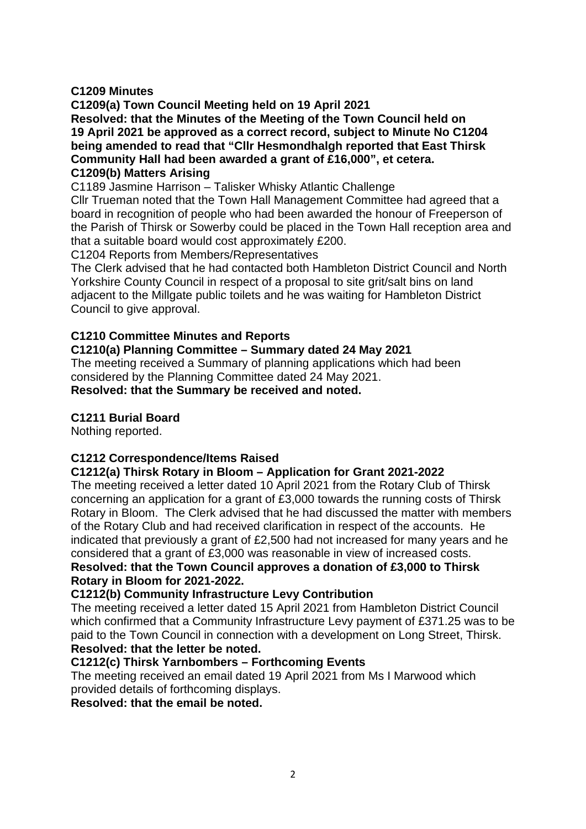### **C1209 Minutes**

**C1209(a) Town Council Meeting held on 19 April 2021 Resolved: that the Minutes of the Meeting of the Town Council held on 19 April 2021 be approved as a correct record, subject to Minute No C1204 being amended to read that "Cllr Hesmondhalgh reported that East Thirsk Community Hall had been awarded a grant of £16,000", et cetera. C1209(b) Matters Arising**

C1189 Jasmine Harrison – Talisker Whisky Atlantic Challenge

Cllr Trueman noted that the Town Hall Management Committee had agreed that a board in recognition of people who had been awarded the honour of Freeperson of the Parish of Thirsk or Sowerby could be placed in the Town Hall reception area and that a suitable board would cost approximately £200.

C1204 Reports from Members/Representatives

The Clerk advised that he had contacted both Hambleton District Council and North Yorkshire County Council in respect of a proposal to site grit/salt bins on land adjacent to the Millgate public toilets and he was waiting for Hambleton District Council to give approval.

### **C1210 Committee Minutes and Reports**

### **C1210(a) Planning Committee – Summary dated 24 May 2021**

The meeting received a Summary of planning applications which had been considered by the Planning Committee dated 24 May 2021. **Resolved: that the Summary be received and noted.**

### **C1211 Burial Board**

Nothing reported.

### **C1212 Correspondence/Items Raised**

### **C1212(a) Thirsk Rotary in Bloom – Application for Grant 2021-2022**

The meeting received a letter dated 10 April 2021 from the Rotary Club of Thirsk concerning an application for a grant of £3,000 towards the running costs of Thirsk Rotary in Bloom. The Clerk advised that he had discussed the matter with members of the Rotary Club and had received clarification in respect of the accounts. He indicated that previously a grant of £2,500 had not increased for many years and he considered that a grant of £3,000 was reasonable in view of increased costs.

### **Resolved: that the Town Council approves a donation of £3,000 to Thirsk Rotary in Bloom for 2021-2022.**

### **C1212(b) Community Infrastructure Levy Contribution**

The meeting received a letter dated 15 April 2021 from Hambleton District Council which confirmed that a Community Infrastructure Levy payment of £371.25 was to be paid to the Town Council in connection with a development on Long Street, Thirsk. **Resolved: that the letter be noted.** 

### **C1212(c) Thirsk Yarnbombers – Forthcoming Events**

The meeting received an email dated 19 April 2021 from Ms I Marwood which provided details of forthcoming displays.

**Resolved: that the email be noted.**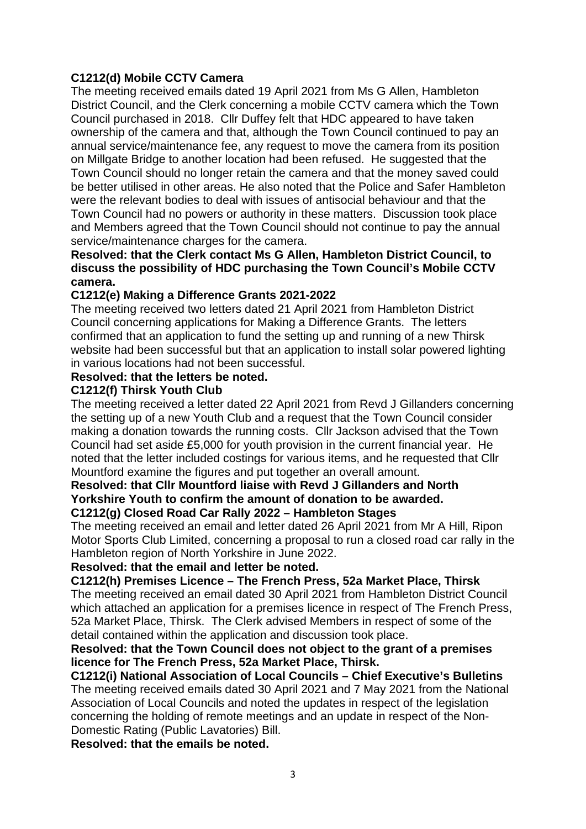### **C1212(d) Mobile CCTV Camera**

The meeting received emails dated 19 April 2021 from Ms G Allen, Hambleton District Council, and the Clerk concerning a mobile CCTV camera which the Town Council purchased in 2018. Cllr Duffey felt that HDC appeared to have taken ownership of the camera and that, although the Town Council continued to pay an annual service/maintenance fee, any request to move the camera from its position on Millgate Bridge to another location had been refused. He suggested that the Town Council should no longer retain the camera and that the money saved could be better utilised in other areas. He also noted that the Police and Safer Hambleton were the relevant bodies to deal with issues of antisocial behaviour and that the Town Council had no powers or authority in these matters. Discussion took place and Members agreed that the Town Council should not continue to pay the annual service/maintenance charges for the camera.

### **Resolved: that the Clerk contact Ms G Allen, Hambleton District Council, to discuss the possibility of HDC purchasing the Town Council's Mobile CCTV camera.**

### **C1212(e) Making a Difference Grants 2021-2022**

The meeting received two letters dated 21 April 2021 from Hambleton District Council concerning applications for Making a Difference Grants. The letters confirmed that an application to fund the setting up and running of a new Thirsk website had been successful but that an application to install solar powered lighting in various locations had not been successful.

### **Resolved: that the letters be noted.**

### **C1212(f) Thirsk Youth Club**

The meeting received a letter dated 22 April 2021 from Revd J Gillanders concerning the setting up of a new Youth Club and a request that the Town Council consider making a donation towards the running costs. Cllr Jackson advised that the Town Council had set aside £5,000 for youth provision in the current financial year. He noted that the letter included costings for various items, and he requested that Cllr Mountford examine the figures and put together an overall amount.

#### **Resolved: that Cllr Mountford liaise with Revd J Gillanders and North Yorkshire Youth to confirm the amount of donation to be awarded. C1212(g) Closed Road Car Rally 2022 – Hambleton Stages**

The meeting received an email and letter dated 26 April 2021 from Mr A Hill, Ripon Motor Sports Club Limited, concerning a proposal to run a closed road car rally in the Hambleton region of North Yorkshire in June 2022.

### **Resolved: that the email and letter be noted.**

**C1212(h) Premises Licence – The French Press, 52a Market Place, Thirsk** The meeting received an email dated 30 April 2021 from Hambleton District Council which attached an application for a premises licence in respect of The French Press, 52a Market Place, Thirsk. The Clerk advised Members in respect of some of the detail contained within the application and discussion took place.

### **Resolved: that the Town Council does not object to the grant of a premises licence for The French Press, 52a Market Place, Thirsk.**

**C1212(i) National Association of Local Councils – Chief Executive's Bulletins** The meeting received emails dated 30 April 2021 and 7 May 2021 from the National Association of Local Councils and noted the updates in respect of the legislation concerning the holding of remote meetings and an update in respect of the Non-Domestic Rating (Public Lavatories) Bill.

**Resolved: that the emails be noted.**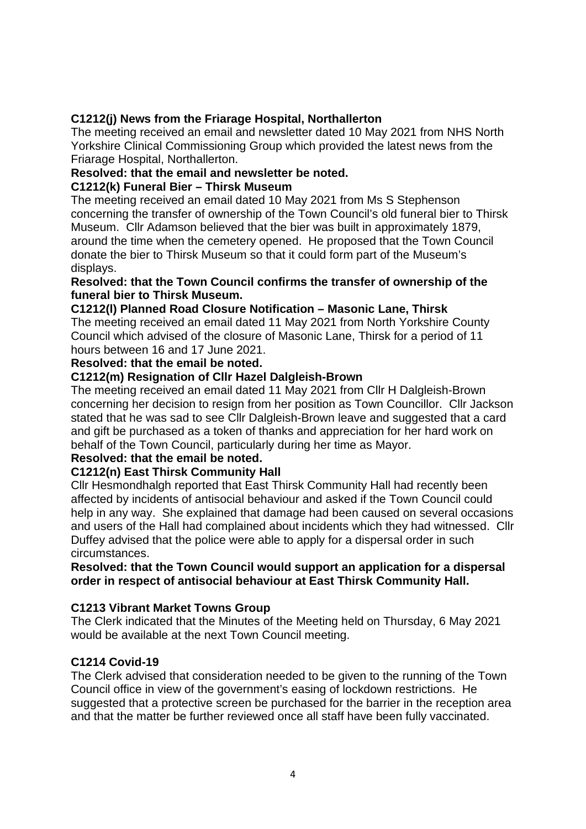# **C1212(j) News from the Friarage Hospital, Northallerton**

The meeting received an email and newsletter dated 10 May 2021 from NHS North Yorkshire Clinical Commissioning Group which provided the latest news from the Friarage Hospital, Northallerton.

### **Resolved: that the email and newsletter be noted.**

### **C1212(k) Funeral Bier – Thirsk Museum**

The meeting received an email dated 10 May 2021 from Ms S Stephenson concerning the transfer of ownership of the Town Council's old funeral bier to Thirsk Museum. Cllr Adamson believed that the bier was built in approximately 1879, around the time when the cemetery opened. He proposed that the Town Council donate the bier to Thirsk Museum so that it could form part of the Museum's displays.

### **Resolved: that the Town Council confirms the transfer of ownership of the funeral bier to Thirsk Museum.**

### **C1212(l) Planned Road Closure Notification – Masonic Lane, Thirsk**

The meeting received an email dated 11 May 2021 from North Yorkshire County Council which advised of the closure of Masonic Lane, Thirsk for a period of 11 hours between 16 and 17 June 2021.

### **Resolved: that the email be noted.**

### **C1212(m) Resignation of Cllr Hazel Dalgleish-Brown**

The meeting received an email dated 11 May 2021 from Cllr H Dalgleish-Brown concerning her decision to resign from her position as Town Councillor. Cllr Jackson stated that he was sad to see Cllr Dalgleish-Brown leave and suggested that a card and gift be purchased as a token of thanks and appreciation for her hard work on behalf of the Town Council, particularly during her time as Mayor.

### **Resolved: that the email be noted.**

### **C1212(n) East Thirsk Community Hall**

Cllr Hesmondhalgh reported that East Thirsk Community Hall had recently been affected by incidents of antisocial behaviour and asked if the Town Council could help in any way. She explained that damage had been caused on several occasions and users of the Hall had complained about incidents which they had witnessed. Cllr Duffey advised that the police were able to apply for a dispersal order in such circumstances.

#### **Resolved: that the Town Council would support an application for a dispersal order in respect of antisocial behaviour at East Thirsk Community Hall.**

### **C1213 Vibrant Market Towns Group**

The Clerk indicated that the Minutes of the Meeting held on Thursday, 6 May 2021 would be available at the next Town Council meeting.

### **C1214 Covid-19**

The Clerk advised that consideration needed to be given to the running of the Town Council office in view of the government's easing of lockdown restrictions. He suggested that a protective screen be purchased for the barrier in the reception area and that the matter be further reviewed once all staff have been fully vaccinated.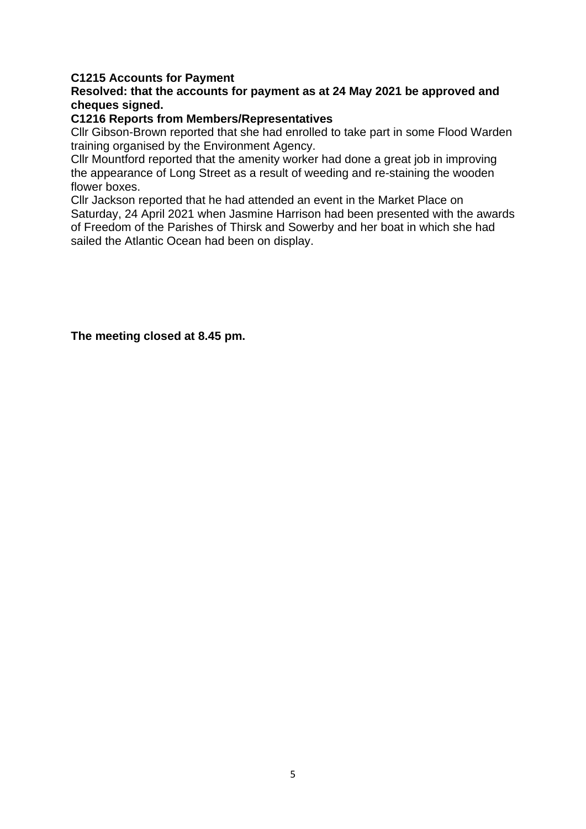### **C1215 Accounts for Payment**

### **Resolved: that the accounts for payment as at 24 May 2021 be approved and cheques signed.**

#### **C1216 Reports from Members/Representatives**

Cllr Gibson-Brown reported that she had enrolled to take part in some Flood Warden training organised by the Environment Agency.

Cllr Mountford reported that the amenity worker had done a great job in improving the appearance of Long Street as a result of weeding and re-staining the wooden flower boxes.

Cllr Jackson reported that he had attended an event in the Market Place on Saturday, 24 April 2021 when Jasmine Harrison had been presented with the awards of Freedom of the Parishes of Thirsk and Sowerby and her boat in which she had sailed the Atlantic Ocean had been on display.

**The meeting closed at 8.45 pm.**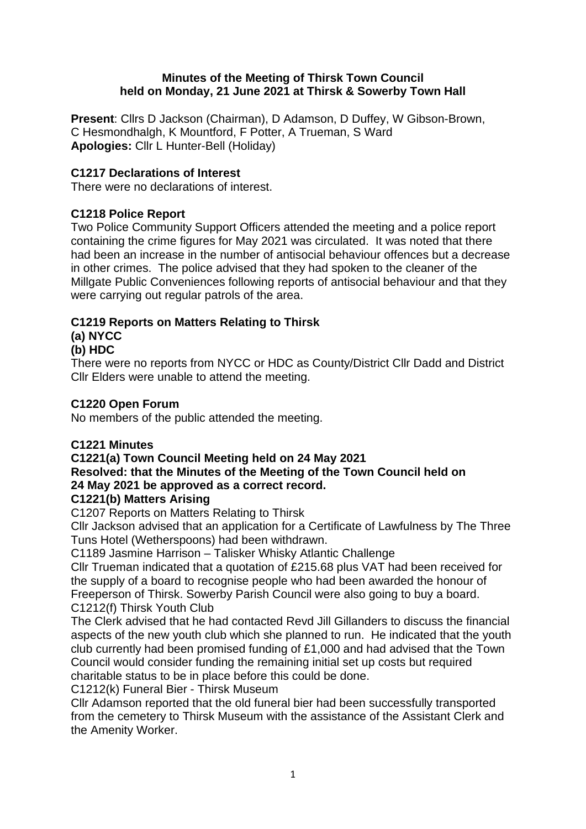### **Minutes of the Meeting of Thirsk Town Council held on Monday, 21 June 2021 at Thirsk & Sowerby Town Hall**

**Present**: Cllrs D Jackson (Chairman), D Adamson, D Duffey, W Gibson-Brown, C Hesmondhalgh, K Mountford, F Potter, A Trueman, S Ward **Apologies:** Cllr L Hunter-Bell (Holiday)

### **C1217 Declarations of Interest**

There were no declarations of interest.

# **C1218 Police Report**

Two Police Community Support Officers attended the meeting and a police report containing the crime figures for May 2021 was circulated. It was noted that there had been an increase in the number of antisocial behaviour offences but a decrease in other crimes. The police advised that they had spoken to the cleaner of the Millgate Public Conveniences following reports of antisocial behaviour and that they were carrying out regular patrols of the area.

# **C1219 Reports on Matters Relating to Thirsk**

# **(a) NYCC**

# **(b) HDC**

There were no reports from NYCC or HDC as County/District Cllr Dadd and District Cllr Elders were unable to attend the meeting.

### **C1220 Open Forum**

No members of the public attended the meeting.

### **C1221 Minutes**

# **C1221(a) Town Council Meeting held on 24 May 2021 Resolved: that the Minutes of the Meeting of the Town Council held on 24 May 2021 be approved as a correct record.**

### **C1221(b) Matters Arising**

C1207 Reports on Matters Relating to Thirsk

Cllr Jackson advised that an application for a Certificate of Lawfulness by The Three Tuns Hotel (Wetherspoons) had been withdrawn.

C1189 Jasmine Harrison – Talisker Whisky Atlantic Challenge

Cllr Trueman indicated that a quotation of £215.68 plus VAT had been received for the supply of a board to recognise people who had been awarded the honour of Freeperson of Thirsk. Sowerby Parish Council were also going to buy a board. C1212(f) Thirsk Youth Club

The Clerk advised that he had contacted Revd Jill Gillanders to discuss the financial aspects of the new youth club which she planned to run. He indicated that the youth club currently had been promised funding of £1,000 and had advised that the Town Council would consider funding the remaining initial set up costs but required charitable status to be in place before this could be done.

C1212(k) Funeral Bier - Thirsk Museum

Cllr Adamson reported that the old funeral bier had been successfully transported from the cemetery to Thirsk Museum with the assistance of the Assistant Clerk and the Amenity Worker.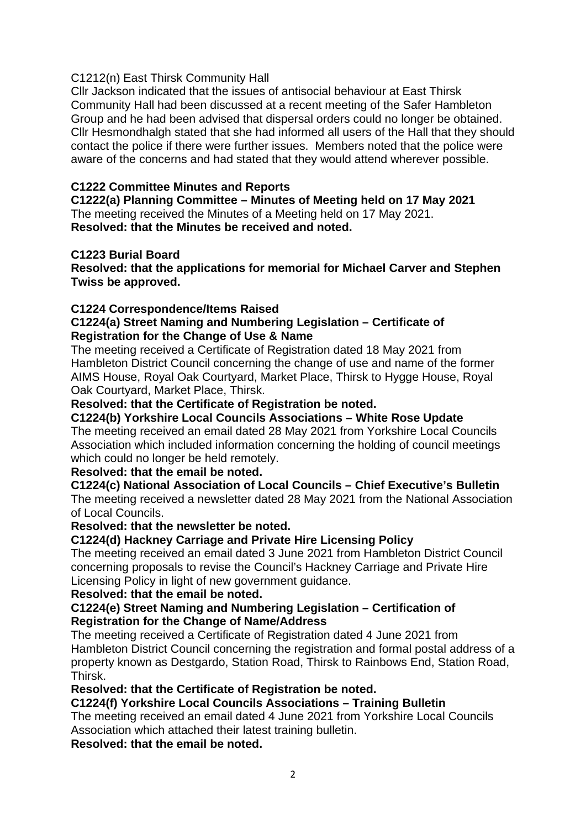### C1212(n) East Thirsk Community Hall

Cllr Jackson indicated that the issues of antisocial behaviour at East Thirsk Community Hall had been discussed at a recent meeting of the Safer Hambleton Group and he had been advised that dispersal orders could no longer be obtained. Cllr Hesmondhalgh stated that she had informed all users of the Hall that they should contact the police if there were further issues. Members noted that the police were aware of the concerns and had stated that they would attend wherever possible.

### **C1222 Committee Minutes and Reports**

**C1222(a) Planning Committee – Minutes of Meeting held on 17 May 2021** The meeting received the Minutes of a Meeting held on 17 May 2021. **Resolved: that the Minutes be received and noted.**

### **C1223 Burial Board**

**Resolved: that the applications for memorial for Michael Carver and Stephen Twiss be approved.** 

### **C1224 Correspondence/Items Raised**

### **C1224(a) Street Naming and Numbering Legislation – Certificate of Registration for the Change of Use & Name**

The meeting received a Certificate of Registration dated 18 May 2021 from Hambleton District Council concerning the change of use and name of the former AIMS House, Royal Oak Courtyard, Market Place, Thirsk to Hygge House, Royal Oak Courtyard, Market Place, Thirsk.

### **Resolved: that the Certificate of Registration be noted.**

#### **C1224(b) Yorkshire Local Councils Associations – White Rose Update**

The meeting received an email dated 28 May 2021 from Yorkshire Local Councils Association which included information concerning the holding of council meetings which could no longer be held remotely.

### **Resolved: that the email be noted.**

### **C1224(c) National Association of Local Councils – Chief Executive's Bulletin**

The meeting received a newsletter dated 28 May 2021 from the National Association of Local Councils.

#### **Resolved: that the newsletter be noted.**

### **C1224(d) Hackney Carriage and Private Hire Licensing Policy**

The meeting received an email dated 3 June 2021 from Hambleton District Council concerning proposals to revise the Council's Hackney Carriage and Private Hire Licensing Policy in light of new government guidance.

#### **Resolved: that the email be noted.**

#### **C1224(e) Street Naming and Numbering Legislation – Certification of Registration for the Change of Name/Address**

The meeting received a Certificate of Registration dated 4 June 2021 from Hambleton District Council concerning the registration and formal postal address of a property known as Destgardo, Station Road, Thirsk to Rainbows End, Station Road, Thirsk.

### **Resolved: that the Certificate of Registration be noted.**

#### **C1224(f) Yorkshire Local Councils Associations – Training Bulletin**

The meeting received an email dated 4 June 2021 from Yorkshire Local Councils Association which attached their latest training bulletin.

**Resolved: that the email be noted.**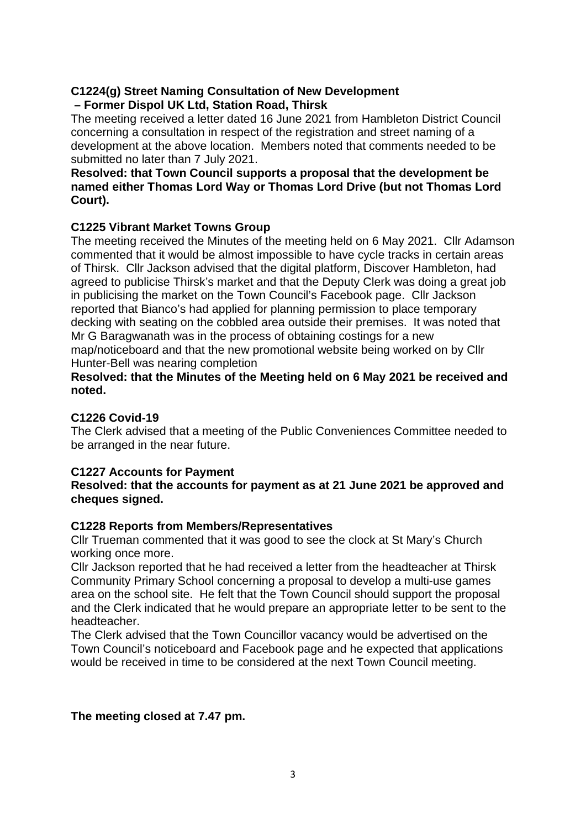### **C1224(g) Street Naming Consultation of New Development – Former Dispol UK Ltd, Station Road, Thirsk**

The meeting received a letter dated 16 June 2021 from Hambleton District Council concerning a consultation in respect of the registration and street naming of a development at the above location. Members noted that comments needed to be submitted no later than 7 July 2021.

### **Resolved: that Town Council supports a proposal that the development be named either Thomas Lord Way or Thomas Lord Drive (but not Thomas Lord Court).**

# **C1225 Vibrant Market Towns Group**

The meeting received the Minutes of the meeting held on 6 May 2021. Cllr Adamson commented that it would be almost impossible to have cycle tracks in certain areas of Thirsk. Cllr Jackson advised that the digital platform, Discover Hambleton, had agreed to publicise Thirsk's market and that the Deputy Clerk was doing a great job in publicising the market on the Town Council's Facebook page. Cllr Jackson reported that Bianco's had applied for planning permission to place temporary decking with seating on the cobbled area outside their premises. It was noted that Mr G Baragwanath was in the process of obtaining costings for a new map/noticeboard and that the new promotional website being worked on by Cllr Hunter-Bell was nearing completion

### **Resolved: that the Minutes of the Meeting held on 6 May 2021 be received and noted.**

### **C1226 Covid-19**

The Clerk advised that a meeting of the Public Conveniences Committee needed to be arranged in the near future.

### **C1227 Accounts for Payment**

### **Resolved: that the accounts for payment as at 21 June 2021 be approved and cheques signed.**

### **C1228 Reports from Members/Representatives**

Cllr Trueman commented that it was good to see the clock at St Mary's Church working once more.

Cllr Jackson reported that he had received a letter from the headteacher at Thirsk Community Primary School concerning a proposal to develop a multi-use games area on the school site. He felt that the Town Council should support the proposal and the Clerk indicated that he would prepare an appropriate letter to be sent to the headteacher.

The Clerk advised that the Town Councillor vacancy would be advertised on the Town Council's noticeboard and Facebook page and he expected that applications would be received in time to be considered at the next Town Council meeting.

### **The meeting closed at 7.47 pm.**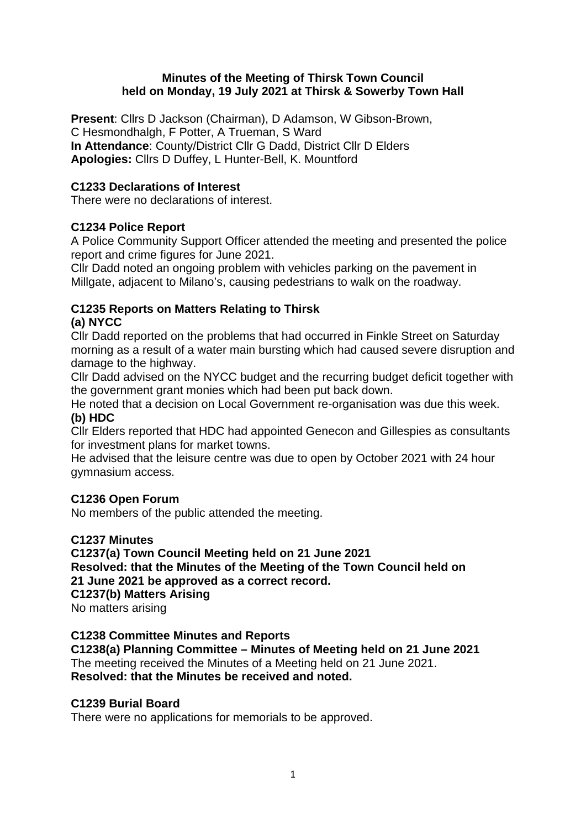### **Minutes of the Meeting of Thirsk Town Council held on Monday, 19 July 2021 at Thirsk & Sowerby Town Hall**

**Present**: Cllrs D Jackson (Chairman), D Adamson, W Gibson-Brown, C Hesmondhalgh, F Potter, A Trueman, S Ward **In Attendance**: County/District Cllr G Dadd, District Cllr D Elders **Apologies:** Cllrs D Duffey, L Hunter-Bell, K. Mountford

### **C1233 Declarations of Interest**

There were no declarations of interest.

### **C1234 Police Report**

A Police Community Support Officer attended the meeting and presented the police report and crime figures for June 2021.

Cllr Dadd noted an ongoing problem with vehicles parking on the pavement in Millgate, adjacent to Milano's, causing pedestrians to walk on the roadway.

#### **C1235 Reports on Matters Relating to Thirsk (a) NYCC**

Cllr Dadd reported on the problems that had occurred in Finkle Street on Saturday morning as a result of a water main bursting which had caused severe disruption and damage to the highway.

Cllr Dadd advised on the NYCC budget and the recurring budget deficit together with the government grant monies which had been put back down.

He noted that a decision on Local Government re-organisation was due this week. **(b) HDC**

Cllr Elders reported that HDC had appointed Genecon and Gillespies as consultants for investment plans for market towns.

He advised that the leisure centre was due to open by October 2021 with 24 hour gymnasium access.

### **C1236 Open Forum**

No members of the public attended the meeting.

### **C1237 Minutes**

**C1237(a) Town Council Meeting held on 21 June 2021 Resolved: that the Minutes of the Meeting of the Town Council held on 21 June 2021 be approved as a correct record. C1237(b) Matters Arising** No matters arising

### **C1238 Committee Minutes and Reports**

**C1238(a) Planning Committee – Minutes of Meeting held on 21 June 2021** The meeting received the Minutes of a Meeting held on 21 June 2021. **Resolved: that the Minutes be received and noted.**

### **C1239 Burial Board**

There were no applications for memorials to be approved.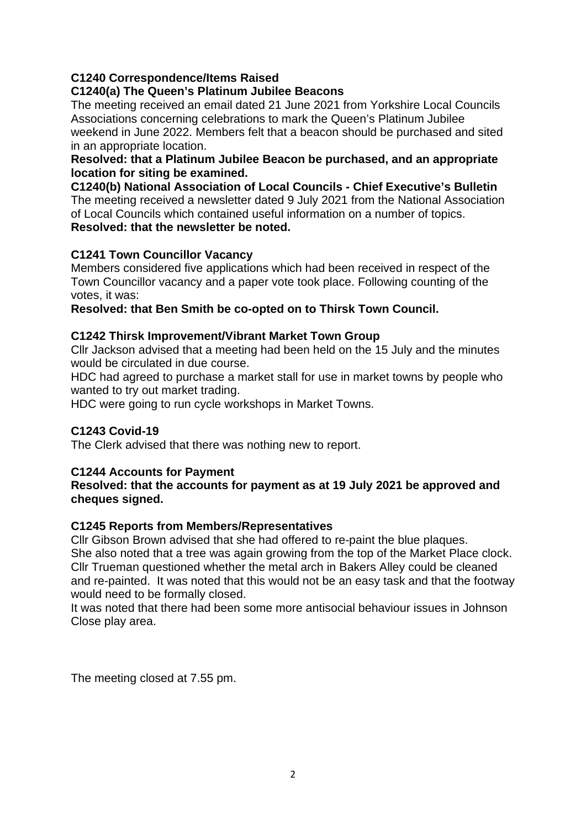### **C1240 Correspondence/Items Raised**

### **C1240(a) The Queen's Platinum Jubilee Beacons**

The meeting received an email dated 21 June 2021 from Yorkshire Local Councils Associations concerning celebrations to mark the Queen's Platinum Jubilee weekend in June 2022. Members felt that a beacon should be purchased and sited in an appropriate location.

### **Resolved: that a Platinum Jubilee Beacon be purchased, and an appropriate location for siting be examined.**

**C1240(b) National Association of Local Councils - Chief Executive's Bulletin** The meeting received a newsletter dated 9 July 2021 from the National Association of Local Councils which contained useful information on a number of topics. **Resolved: that the newsletter be noted.**

### **C1241 Town Councillor Vacancy**

Members considered five applications which had been received in respect of the Town Councillor vacancy and a paper vote took place. Following counting of the votes, it was:

**Resolved: that Ben Smith be co-opted on to Thirsk Town Council.**

### **C1242 Thirsk Improvement/Vibrant Market Town Group**

Cllr Jackson advised that a meeting had been held on the 15 July and the minutes would be circulated in due course.

HDC had agreed to purchase a market stall for use in market towns by people who wanted to try out market trading.

HDC were going to run cycle workshops in Market Towns.

### **C1243 Covid-19**

The Clerk advised that there was nothing new to report.

### **C1244 Accounts for Payment**

**Resolved: that the accounts for payment as at 19 July 2021 be approved and cheques signed.**

### **C1245 Reports from Members/Representatives**

Cllr Gibson Brown advised that she had offered to re-paint the blue plaques. She also noted that a tree was again growing from the top of the Market Place clock. Cllr Trueman questioned whether the metal arch in Bakers Alley could be cleaned and re-painted. It was noted that this would not be an easy task and that the footway would need to be formally closed.

It was noted that there had been some more antisocial behaviour issues in Johnson Close play area.

The meeting closed at 7.55 pm.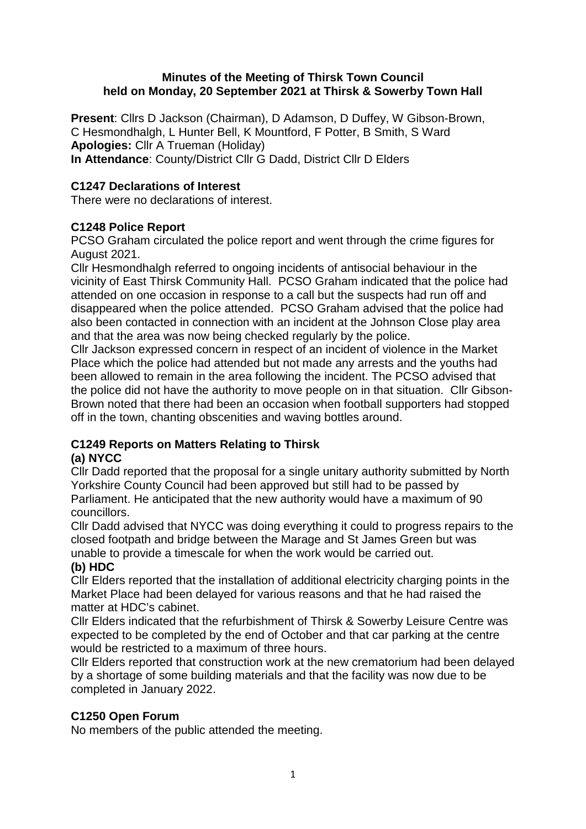### **Minutes of the Meeting of Thirsk Town Council held on Monday, 20 September 2021 at Thirsk & Sowerby Town Hall**

**Present**: Cllrs D Jackson (Chairman), D Adamson, D Duffey, W Gibson-Brown, C Hesmondhalgh, L Hunter Bell, K Mountford, F Potter, B Smith, S Ward **Apologies:** Cllr A Trueman (Holiday) **In Attendance**: County/District Cllr G Dadd, District Cllr D Elders

### **C1247 Declarations of Interest**

There were no declarations of interest.

# **C1248 Police Report**

PCSO Graham circulated the police report and went through the crime figures for August 2021.

Cllr Hesmondhalgh referred to ongoing incidents of antisocial behaviour in the vicinity of East Thirsk Community Hall. PCSO Graham indicated that the police had attended on one occasion in response to a call but the suspects had run off and disappeared when the police attended. PCSO Graham advised that the police had also been contacted in connection with an incident at the Johnson Close play area and that the area was now being checked regularly by the police.

Cllr Jackson expressed concern in respect of an incident of violence in the Market Place which the police had attended but not made any arrests and the youths had been allowed to remain in the area following the incident. The PCSO advised that the police did not have the authority to move people on in that situation. Cllr Gibson-Brown noted that there had been an occasion when football supporters had stopped off in the town, chanting obscenities and waving bottles around.

# **C1249 Reports on Matters Relating to Thirsk**

### **(a) NYCC**

Cllr Dadd reported that the proposal for a single unitary authority submitted by North Yorkshire County Council had been approved but still had to be passed by Parliament. He anticipated that the new authority would have a maximum of 90 councillors.

Cllr Dadd advised that NYCC was doing everything it could to progress repairs to the closed footpath and bridge between the Marage and St James Green but was unable to provide a timescale for when the work would be carried out.

### **(b) HDC**

Cllr Elders reported that the installation of additional electricity charging points in the Market Place had been delayed for various reasons and that he had raised the matter at HDC's cabinet.

Cllr Elders indicated that the refurbishment of Thirsk & Sowerby Leisure Centre was expected to be completed by the end of October and that car parking at the centre would be restricted to a maximum of three hours.

Cllr Elders reported that construction work at the new crematorium had been delayed by a shortage of some building materials and that the facility was now due to be completed in January 2022.

# **C1250 Open Forum**

No members of the public attended the meeting.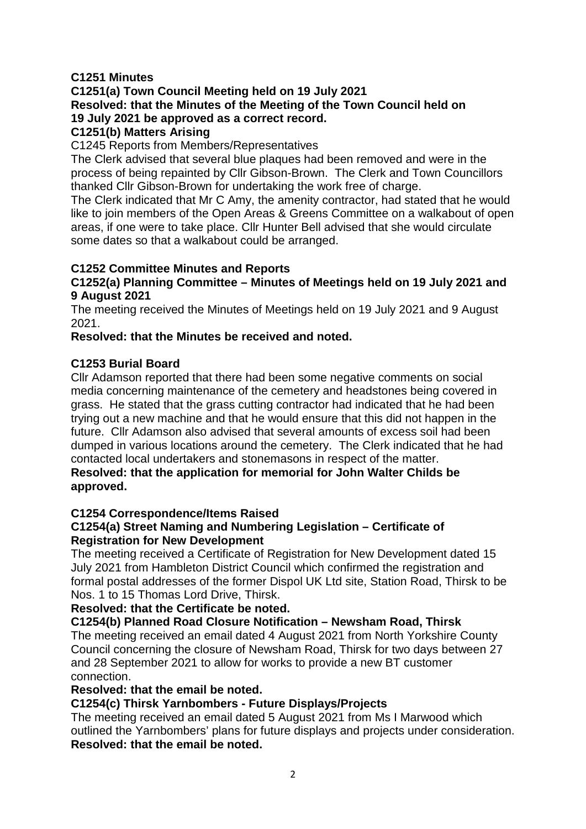### **C1251 Minutes**

**C1251(a) Town Council Meeting held on 19 July 2021 Resolved: that the Minutes of the Meeting of the Town Council held on 19 July 2021 be approved as a correct record.** 

# **C1251(b) Matters Arising**

C1245 Reports from Members/Representatives

The Clerk advised that several blue plaques had been removed and were in the process of being repainted by Cllr Gibson-Brown. The Clerk and Town Councillors thanked Cllr Gibson-Brown for undertaking the work free of charge.

The Clerk indicated that Mr C Amy, the amenity contractor, had stated that he would like to join members of the Open Areas & Greens Committee on a walkabout of open areas, if one were to take place. Cllr Hunter Bell advised that she would circulate some dates so that a walkabout could be arranged.

### **C1252 Committee Minutes and Reports**

### **C1252(a) Planning Committee – Minutes of Meetings held on 19 July 2021 and 9 August 2021**

The meeting received the Minutes of Meetings held on 19 July 2021 and 9 August 2021.

### **Resolved: that the Minutes be received and noted.**

### **C1253 Burial Board**

Cllr Adamson reported that there had been some negative comments on social media concerning maintenance of the cemetery and headstones being covered in grass. He stated that the grass cutting contractor had indicated that he had been trying out a new machine and that he would ensure that this did not happen in the future. Cllr Adamson also advised that several amounts of excess soil had been dumped in various locations around the cemetery. The Clerk indicated that he had contacted local undertakers and stonemasons in respect of the matter.

### **Resolved: that the application for memorial for John Walter Childs be approved.**

### **C1254 Correspondence/Items Raised**

### **C1254(a) Street Naming and Numbering Legislation – Certificate of Registration for New Development**

The meeting received a Certificate of Registration for New Development dated 15 July 2021 from Hambleton District Council which confirmed the registration and formal postal addresses of the former Dispol UK Ltd site, Station Road, Thirsk to be Nos. 1 to 15 Thomas Lord Drive, Thirsk.

### **Resolved: that the Certificate be noted.**

### **C1254(b) Planned Road Closure Notification – Newsham Road, Thirsk**

The meeting received an email dated 4 August 2021 from North Yorkshire County Council concerning the closure of Newsham Road, Thirsk for two days between 27 and 28 September 2021 to allow for works to provide a new BT customer connection.

### **Resolved: that the email be noted.**

### **C1254(c) Thirsk Yarnbombers - Future Displays/Projects**

The meeting received an email dated 5 August 2021 from Ms I Marwood which outlined the Yarnbombers' plans for future displays and projects under consideration. **Resolved: that the email be noted.**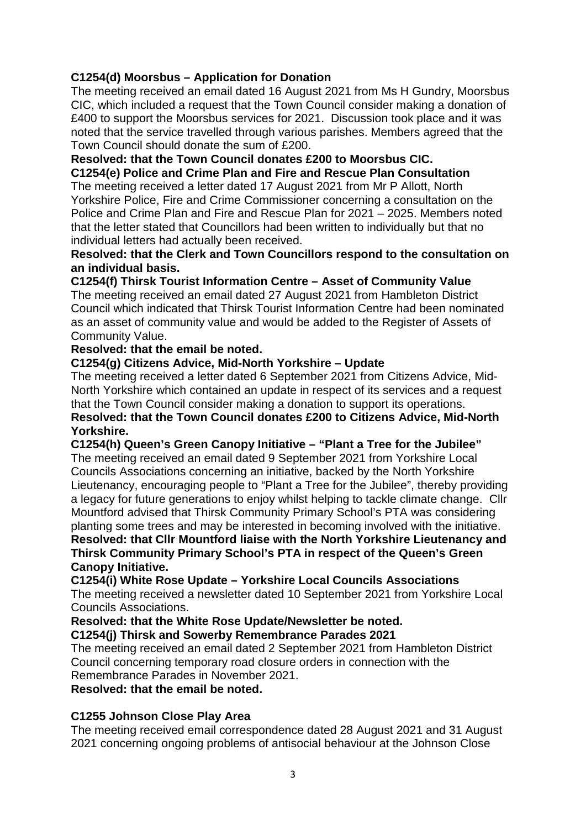### **C1254(d) Moorsbus – Application for Donation**

The meeting received an email dated 16 August 2021 from Ms H Gundry, Moorsbus CIC, which included a request that the Town Council consider making a donation of £400 to support the Moorsbus services for 2021. Discussion took place and it was noted that the service travelled through various parishes. Members agreed that the Town Council should donate the sum of £200.

### **Resolved: that the Town Council donates £200 to Moorsbus CIC.**

**C1254(e) Police and Crime Plan and Fire and Rescue Plan Consultation** The meeting received a letter dated 17 August 2021 from Mr P Allott, North Yorkshire Police, Fire and Crime Commissioner concerning a consultation on the Police and Crime Plan and Fire and Rescue Plan for 2021 – 2025. Members noted that the letter stated that Councillors had been written to individually but that no individual letters had actually been received.

#### **Resolved: that the Clerk and Town Councillors respond to the consultation on an individual basis.**

### **C1254(f) Thirsk Tourist Information Centre – Asset of Community Value**

The meeting received an email dated 27 August 2021 from Hambleton District Council which indicated that Thirsk Tourist Information Centre had been nominated as an asset of community value and would be added to the Register of Assets of Community Value.

### **Resolved: that the email be noted.**

### **C1254(g) Citizens Advice, Mid-North Yorkshire – Update**

The meeting received a letter dated 6 September 2021 from Citizens Advice, Mid-North Yorkshire which contained an update in respect of its services and a request that the Town Council consider making a donation to support its operations. **Resolved: that the Town Council donates £200 to Citizens Advice, Mid-North Yorkshire.**

### **C1254(h) Queen's Green Canopy Initiative – "Plant a Tree for the Jubilee"** The meeting received an email dated 9 September 2021 from Yorkshire Local Councils Associations concerning an initiative, backed by the North Yorkshire Lieutenancy, encouraging people to "Plant a Tree for the Jubilee", thereby providing a legacy for future generations to enjoy whilst helping to tackle climate change. Cllr Mountford advised that Thirsk Community Primary School's PTA was considering planting some trees and may be interested in becoming involved with the initiative.

**Resolved: that Cllr Mountford liaise with the North Yorkshire Lieutenancy and Thirsk Community Primary School's PTA in respect of the Queen's Green Canopy Initiative.**

### **C1254(i) White Rose Update – Yorkshire Local Councils Associations**

The meeting received a newsletter dated 10 September 2021 from Yorkshire Local Councils Associations.

### **Resolved: that the White Rose Update/Newsletter be noted.**

**C1254(j) Thirsk and Sowerby Remembrance Parades 2021**

The meeting received an email dated 2 September 2021 from Hambleton District Council concerning temporary road closure orders in connection with the Remembrance Parades in November 2021.

#### **Resolved: that the email be noted.**

### **C1255 Johnson Close Play Area**

The meeting received email correspondence dated 28 August 2021 and 31 August 2021 concerning ongoing problems of antisocial behaviour at the Johnson Close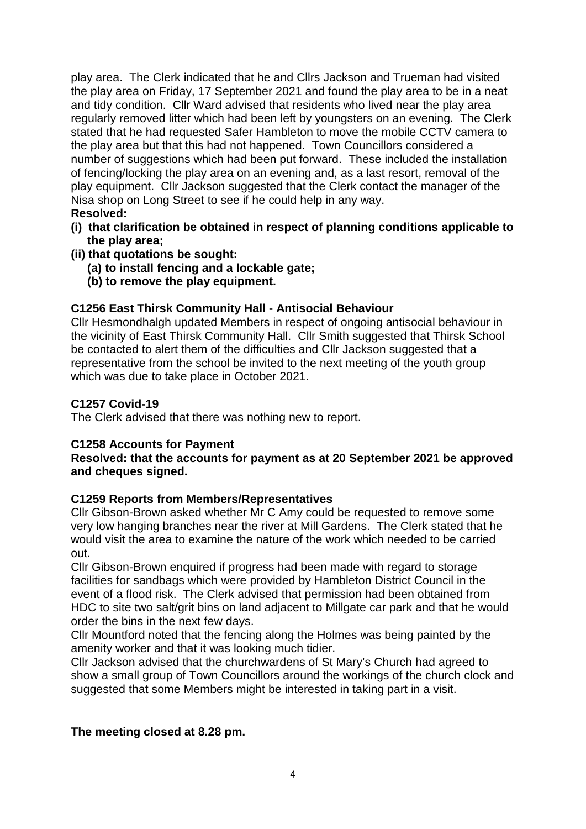play area. The Clerk indicated that he and Cllrs Jackson and Trueman had visited the play area on Friday, 17 September 2021 and found the play area to be in a neat and tidy condition. Cllr Ward advised that residents who lived near the play area regularly removed litter which had been left by youngsters on an evening. The Clerk stated that he had requested Safer Hambleton to move the mobile CCTV camera to the play area but that this had not happened. Town Councillors considered a number of suggestions which had been put forward. These included the installation of fencing/locking the play area on an evening and, as a last resort, removal of the play equipment. Cllr Jackson suggested that the Clerk contact the manager of the Nisa shop on Long Street to see if he could help in any way.

- **Resolved:**
- **(i) that clarification be obtained in respect of planning conditions applicable to the play area;**
- **(ii) that quotations be sought:**
	- **(a) to install fencing and a lockable gate;**
	- **(b) to remove the play equipment.**

### **C1256 East Thirsk Community Hall - Antisocial Behaviour**

Cllr Hesmondhalgh updated Members in respect of ongoing antisocial behaviour in the vicinity of East Thirsk Community Hall. Cllr Smith suggested that Thirsk School be contacted to alert them of the difficulties and Cllr Jackson suggested that a representative from the school be invited to the next meeting of the youth group which was due to take place in October 2021.

### **C1257 Covid-19**

The Clerk advised that there was nothing new to report.

### **C1258 Accounts for Payment**

**Resolved: that the accounts for payment as at 20 September 2021 be approved and cheques signed.**

### **C1259 Reports from Members/Representatives**

Cllr Gibson-Brown asked whether Mr C Amy could be requested to remove some very low hanging branches near the river at Mill Gardens. The Clerk stated that he would visit the area to examine the nature of the work which needed to be carried out.

Cllr Gibson-Brown enquired if progress had been made with regard to storage facilities for sandbags which were provided by Hambleton District Council in the event of a flood risk. The Clerk advised that permission had been obtained from HDC to site two salt/grit bins on land adjacent to Millgate car park and that he would order the bins in the next few days.

Cllr Mountford noted that the fencing along the Holmes was being painted by the amenity worker and that it was looking much tidier.

Cllr Jackson advised that the churchwardens of St Mary's Church had agreed to show a small group of Town Councillors around the workings of the church clock and suggested that some Members might be interested in taking part in a visit.

### **The meeting closed at 8.28 pm.**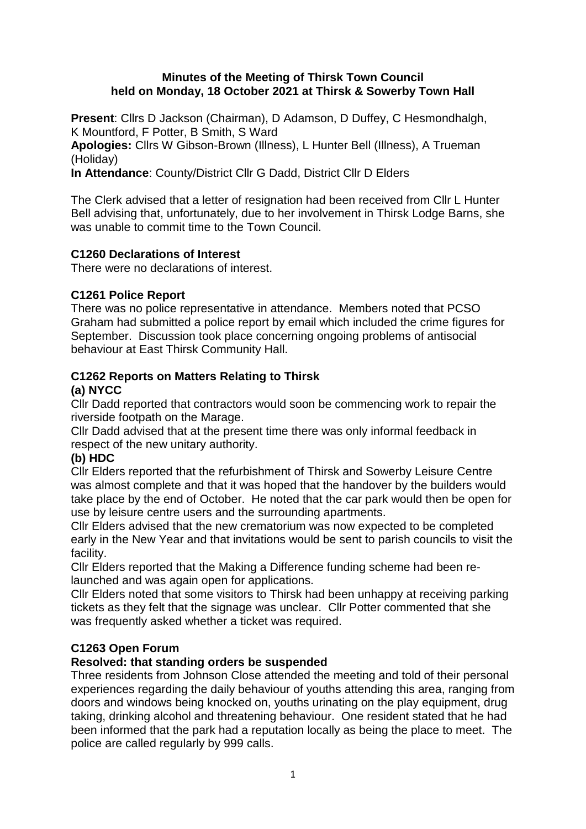#### **Minutes of the Meeting of Thirsk Town Council held on Monday, 18 October 2021 at Thirsk & Sowerby Town Hall**

**Present**: Cllrs D Jackson (Chairman), D Adamson, D Duffey, C Hesmondhalgh, K Mountford, F Potter, B Smith, S Ward

**Apologies:** Cllrs W Gibson-Brown (Illness), L Hunter Bell (Illness), A Trueman (Holiday)

**In Attendance**: County/District Cllr G Dadd, District Cllr D Elders

The Clerk advised that a letter of resignation had been received from Cllr L Hunter Bell advising that, unfortunately, due to her involvement in Thirsk Lodge Barns, she was unable to commit time to the Town Council.

### **C1260 Declarations of Interest**

There were no declarations of interest.

### **C1261 Police Report**

There was no police representative in attendance. Members noted that PCSO Graham had submitted a police report by email which included the crime figures for September. Discussion took place concerning ongoing problems of antisocial behaviour at East Thirsk Community Hall.

#### **C1262 Reports on Matters Relating to Thirsk (a) NYCC**

Cllr Dadd reported that contractors would soon be commencing work to repair the riverside footpath on the Marage.

Cllr Dadd advised that at the present time there was only informal feedback in respect of the new unitary authority.

### **(b) HDC**

Cllr Elders reported that the refurbishment of Thirsk and Sowerby Leisure Centre was almost complete and that it was hoped that the handover by the builders would take place by the end of October. He noted that the car park would then be open for use by leisure centre users and the surrounding apartments.

Cllr Elders advised that the new crematorium was now expected to be completed early in the New Year and that invitations would be sent to parish councils to visit the facility.

Cllr Elders reported that the Making a Difference funding scheme had been relaunched and was again open for applications.

Cllr Elders noted that some visitors to Thirsk had been unhappy at receiving parking tickets as they felt that the signage was unclear. Cllr Potter commented that she was frequently asked whether a ticket was required.

### **C1263 Open Forum**

### **Resolved: that standing orders be suspended**

Three residents from Johnson Close attended the meeting and told of their personal experiences regarding the daily behaviour of youths attending this area, ranging from doors and windows being knocked on, youths urinating on the play equipment, drug taking, drinking alcohol and threatening behaviour. One resident stated that he had been informed that the park had a reputation locally as being the place to meet. The police are called regularly by 999 calls.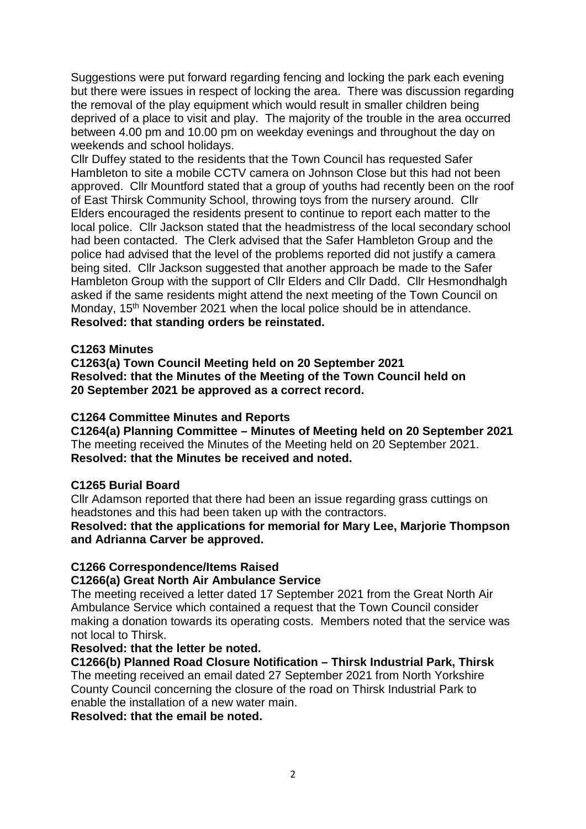Suggestions were put forward regarding fencing and locking the park each evening but there were issues in respect of locking the area. There was discussion regarding the removal of the play equipment which would result in smaller children being deprived of a place to visit and play. The majority of the trouble in the area occurred between 4.00 pm and 10.00 pm on weekday evenings and throughout the day on weekends and school holidays.

Cllr Duffey stated to the residents that the Town Council has requested Safer Hambleton to site a mobile CCTV camera on Johnson Close but this had not been approved. Cllr Mountford stated that a group of youths had recently been on the roof of East Thirsk Community School, throwing toys from the nursery around. Cllr Elders encouraged the residents present to continue to report each matter to the local police. Cllr Jackson stated that the headmistress of the local secondary school had been contacted. The Clerk advised that the Safer Hambleton Group and the police had advised that the level of the problems reported did not justify a camera being sited. Cllr Jackson suggested that another approach be made to the Safer Hambleton Group with the support of Cllr Elders and Cllr Dadd. Cllr Hesmondhalgh asked if the same residents might attend the next meeting of the Town Council on Monday, 15<sup>th</sup> November 2021 when the local police should be in attendance. **Resolved: that standing orders be reinstated.** 

### **C1263 Minutes**

**C1263(a) Town Council Meeting held on 20 September 2021 Resolved: that the Minutes of the Meeting of the Town Council held on 20 September 2021 be approved as a correct record.**

### **C1264 Committee Minutes and Reports**

**C1264(a) Planning Committee – Minutes of Meeting held on 20 September 2021** The meeting received the Minutes of the Meeting held on 20 September 2021. **Resolved: that the Minutes be received and noted.**

#### **C1265 Burial Board**

Cllr Adamson reported that there had been an issue regarding grass cuttings on headstones and this had been taken up with the contractors.

#### **Resolved: that the applications for memorial for Mary Lee, Marjorie Thompson and Adrianna Carver be approved.**

### **C1266 Correspondence/Items Raised**

#### **C1266(a) Great North Air Ambulance Service**

The meeting received a letter dated 17 September 2021 from the Great North Air Ambulance Service which contained a request that the Town Council consider making a donation towards its operating costs. Members noted that the service was not local to Thirsk.

#### **Resolved: that the letter be noted.**

**C1266(b) Planned Road Closure Notification – Thirsk Industrial Park, Thirsk**

The meeting received an email dated 27 September 2021 from North Yorkshire County Council concerning the closure of the road on Thirsk Industrial Park to enable the installation of a new water main.

**Resolved: that the email be noted.**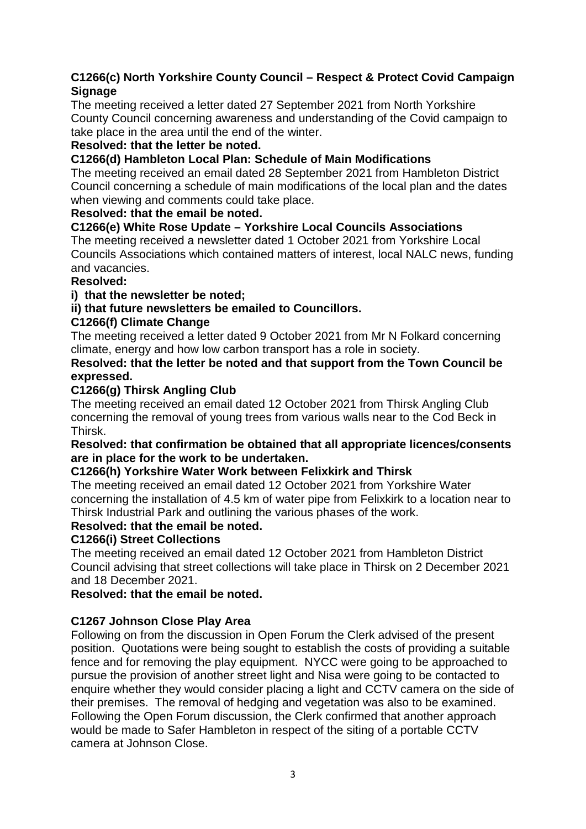### **C1266(c) North Yorkshire County Council – Respect & Protect Covid Campaign Signage**

The meeting received a letter dated 27 September 2021 from North Yorkshire County Council concerning awareness and understanding of the Covid campaign to take place in the area until the end of the winter.

### **Resolved: that the letter be noted.**

### **C1266(d) Hambleton Local Plan: Schedule of Main Modifications**

The meeting received an email dated 28 September 2021 from Hambleton District Council concerning a schedule of main modifications of the local plan and the dates when viewing and comments could take place.

### **Resolved: that the email be noted.**

### **C1266(e) White Rose Update – Yorkshire Local Councils Associations**

The meeting received a newsletter dated 1 October 2021 from Yorkshire Local Councils Associations which contained matters of interest, local NALC news, funding and vacancies.

### **Resolved:**

### **i) that the newsletter be noted;**

### **ii) that future newsletters be emailed to Councillors.**

### **C1266(f) Climate Change**

The meeting received a letter dated 9 October 2021 from Mr N Folkard concerning climate, energy and how low carbon transport has a role in society.

### **Resolved: that the letter be noted and that support from the Town Council be expressed.**

### **C1266(g) Thirsk Angling Club**

The meeting received an email dated 12 October 2021 from Thirsk Angling Club concerning the removal of young trees from various walls near to the Cod Beck in Thirsk.

### **Resolved: that confirmation be obtained that all appropriate licences/consents are in place for the work to be undertaken.**

### **C1266(h) Yorkshire Water Work between Felixkirk and Thirsk**

The meeting received an email dated 12 October 2021 from Yorkshire Water concerning the installation of 4.5 km of water pipe from Felixkirk to a location near to Thirsk Industrial Park and outlining the various phases of the work.

### **Resolved: that the email be noted.**

### **C1266(i) Street Collections**

The meeting received an email dated 12 October 2021 from Hambleton District Council advising that street collections will take place in Thirsk on 2 December 2021 and 18 December 2021.

### **Resolved: that the email be noted.**

### **C1267 Johnson Close Play Area**

Following on from the discussion in Open Forum the Clerk advised of the present position. Quotations were being sought to establish the costs of providing a suitable fence and for removing the play equipment. NYCC were going to be approached to pursue the provision of another street light and Nisa were going to be contacted to enquire whether they would consider placing a light and CCTV camera on the side of their premises. The removal of hedging and vegetation was also to be examined. Following the Open Forum discussion, the Clerk confirmed that another approach would be made to Safer Hambleton in respect of the siting of a portable CCTV camera at Johnson Close.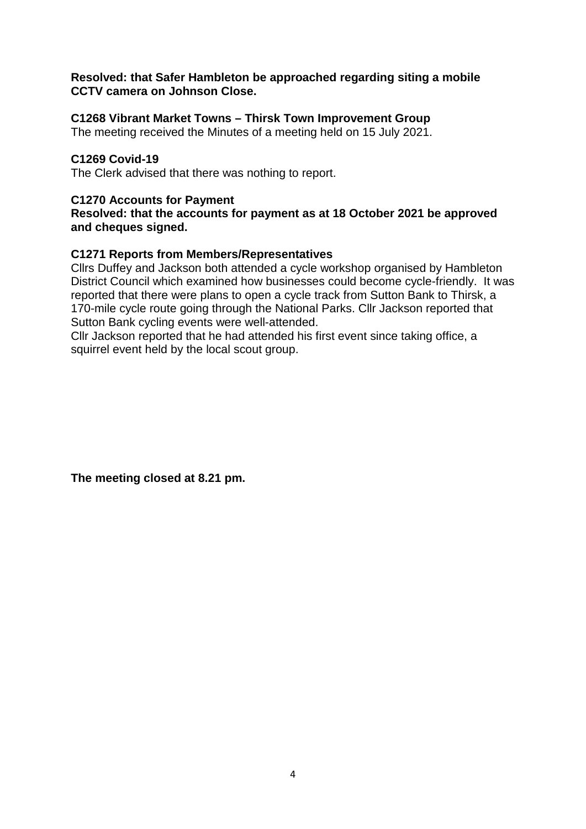#### **Resolved: that Safer Hambleton be approached regarding siting a mobile CCTV camera on Johnson Close.**

### **C1268 Vibrant Market Towns – Thirsk Town Improvement Group**

The meeting received the Minutes of a meeting held on 15 July 2021.

### **C1269 Covid-19**

The Clerk advised that there was nothing to report.

### **C1270 Accounts for Payment**

**Resolved: that the accounts for payment as at 18 October 2021 be approved and cheques signed.**

### **C1271 Reports from Members/Representatives**

Cllrs Duffey and Jackson both attended a cycle workshop organised by Hambleton District Council which examined how businesses could become cycle-friendly. It was reported that there were plans to open a cycle track from Sutton Bank to Thirsk, a 170-mile cycle route going through the National Parks. Cllr Jackson reported that Sutton Bank cycling events were well-attended.

Cllr Jackson reported that he had attended his first event since taking office, a squirrel event held by the local scout group.

**The meeting closed at 8.21 pm.**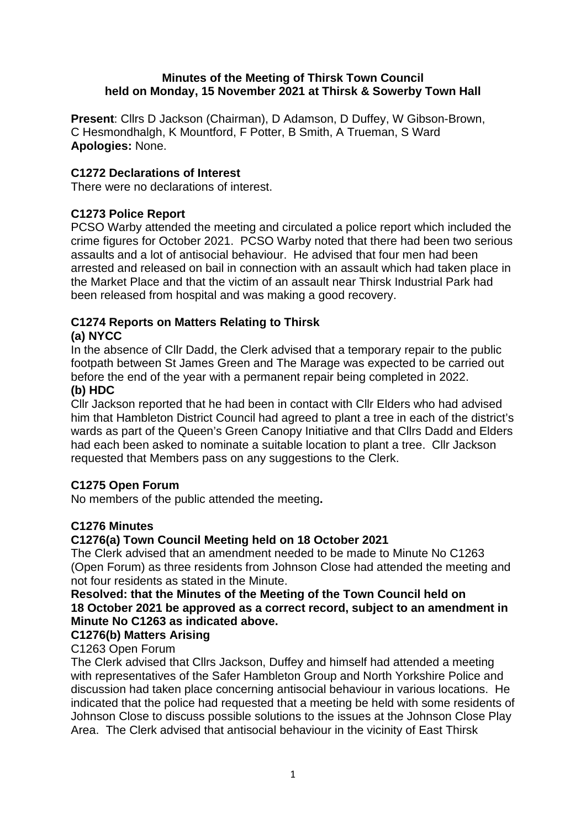### **Minutes of the Meeting of Thirsk Town Council held on Monday, 15 November 2021 at Thirsk & Sowerby Town Hall**

**Present**: Cllrs D Jackson (Chairman), D Adamson, D Duffey, W Gibson-Brown, C Hesmondhalgh, K Mountford, F Potter, B Smith, A Trueman, S Ward **Apologies:** None.

### **C1272 Declarations of Interest**

There were no declarations of interest.

### **C1273 Police Report**

PCSO Warby attended the meeting and circulated a police report which included the crime figures for October 2021. PCSO Warby noted that there had been two serious assaults and a lot of antisocial behaviour. He advised that four men had been arrested and released on bail in connection with an assault which had taken place in the Market Place and that the victim of an assault near Thirsk Industrial Park had been released from hospital and was making a good recovery.

# **C1274 Reports on Matters Relating to Thirsk**

### **(a) NYCC**

In the absence of Cllr Dadd, the Clerk advised that a temporary repair to the public footpath between St James Green and The Marage was expected to be carried out before the end of the year with a permanent repair being completed in 2022.

#### **(b) HDC**

Cllr Jackson reported that he had been in contact with Cllr Elders who had advised him that Hambleton District Council had agreed to plant a tree in each of the district's wards as part of the Queen's Green Canopy Initiative and that Cllrs Dadd and Elders had each been asked to nominate a suitable location to plant a tree. Cllr Jackson requested that Members pass on any suggestions to the Clerk.

### **C1275 Open Forum**

No members of the public attended the meeting**.** 

### **C1276 Minutes**

### **C1276(a) Town Council Meeting held on 18 October 2021**

The Clerk advised that an amendment needed to be made to Minute No C1263 (Open Forum) as three residents from Johnson Close had attended the meeting and not four residents as stated in the Minute.

### **Resolved: that the Minutes of the Meeting of the Town Council held on 18 October 2021 be approved as a correct record, subject to an amendment in Minute No C1263 as indicated above.**

# **C1276(b) Matters Arising**

### C1263 Open Forum

The Clerk advised that Cllrs Jackson, Duffey and himself had attended a meeting with representatives of the Safer Hambleton Group and North Yorkshire Police and discussion had taken place concerning antisocial behaviour in various locations. He indicated that the police had requested that a meeting be held with some residents of Johnson Close to discuss possible solutions to the issues at the Johnson Close Play Area. The Clerk advised that antisocial behaviour in the vicinity of East Thirsk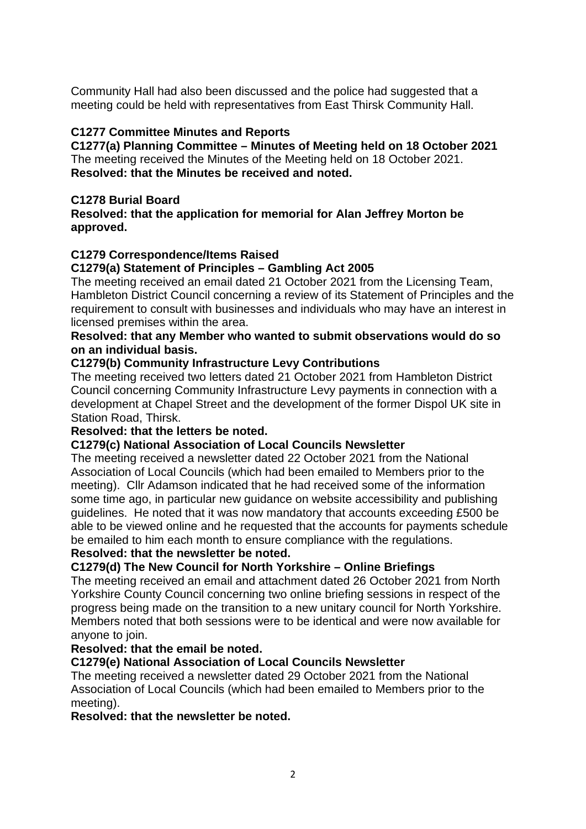Community Hall had also been discussed and the police had suggested that a meeting could be held with representatives from East Thirsk Community Hall.

### **C1277 Committee Minutes and Reports**

**C1277(a) Planning Committee – Minutes of Meeting held on 18 October 2021** The meeting received the Minutes of the Meeting held on 18 October 2021. **Resolved: that the Minutes be received and noted.**

### **C1278 Burial Board**

**Resolved: that the application for memorial for Alan Jeffrey Morton be approved.**

### **C1279 Correspondence/Items Raised**

### **C1279(a) Statement of Principles – Gambling Act 2005**

The meeting received an email dated 21 October 2021 from the Licensing Team, Hambleton District Council concerning a review of its Statement of Principles and the requirement to consult with businesses and individuals who may have an interest in licensed premises within the area.

#### **Resolved: that any Member who wanted to submit observations would do so on an individual basis.**

### **C1279(b) Community Infrastructure Levy Contributions**

The meeting received two letters dated 21 October 2021 from Hambleton District Council concerning Community Infrastructure Levy payments in connection with a development at Chapel Street and the development of the former Dispol UK site in Station Road, Thirsk.

### **Resolved: that the letters be noted.**

### **C1279(c) National Association of Local Councils Newsletter**

The meeting received a newsletter dated 22 October 2021 from the National Association of Local Councils (which had been emailed to Members prior to the meeting). Cllr Adamson indicated that he had received some of the information some time ago, in particular new guidance on website accessibility and publishing guidelines. He noted that it was now mandatory that accounts exceeding £500 be able to be viewed online and he requested that the accounts for payments schedule be emailed to him each month to ensure compliance with the regulations. **Resolved: that the newsletter be noted.**

# **C1279(d) The New Council for North Yorkshire – Online Briefings**

The meeting received an email and attachment dated 26 October 2021 from North Yorkshire County Council concerning two online briefing sessions in respect of the progress being made on the transition to a new unitary council for North Yorkshire. Members noted that both sessions were to be identical and were now available for anvone to join.

### **Resolved: that the email be noted.**

### **C1279(e) National Association of Local Councils Newsletter**

The meeting received a newsletter dated 29 October 2021 from the National Association of Local Councils (which had been emailed to Members prior to the meeting).

### **Resolved: that the newsletter be noted.**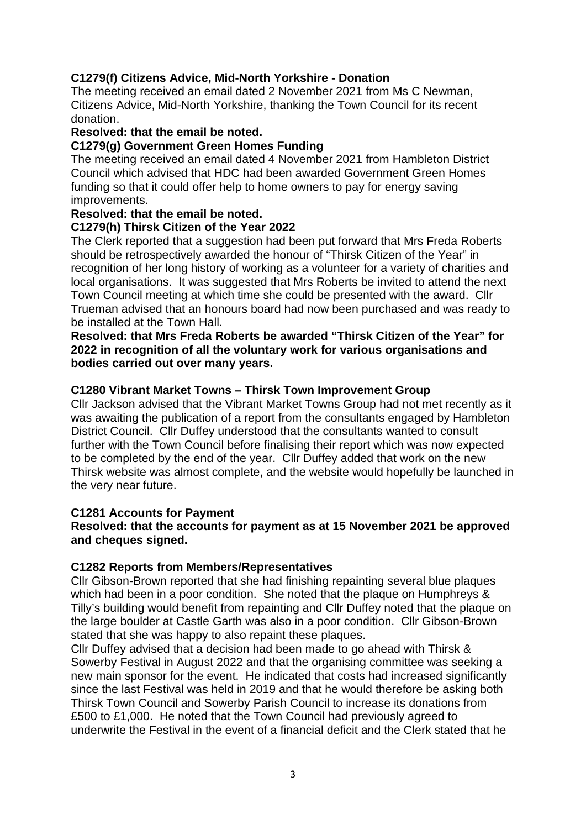### **C1279(f) Citizens Advice, Mid-North Yorkshire - Donation**

The meeting received an email dated 2 November 2021 from Ms C Newman, Citizens Advice, Mid-North Yorkshire, thanking the Town Council for its recent donation.

#### **Resolved: that the email be noted.**

### **C1279(g) Government Green Homes Funding**

The meeting received an email dated 4 November 2021 from Hambleton District Council which advised that HDC had been awarded Government Green Homes funding so that it could offer help to home owners to pay for energy saving improvements.

#### **Resolved: that the email be noted.**

### **C1279(h) Thirsk Citizen of the Year 2022**

The Clerk reported that a suggestion had been put forward that Mrs Freda Roberts should be retrospectively awarded the honour of "Thirsk Citizen of the Year" in recognition of her long history of working as a volunteer for a variety of charities and local organisations. It was suggested that Mrs Roberts be invited to attend the next Town Council meeting at which time she could be presented with the award. Cllr Trueman advised that an honours board had now been purchased and was ready to be installed at the Town Hall.

**Resolved: that Mrs Freda Roberts be awarded "Thirsk Citizen of the Year" for 2022 in recognition of all the voluntary work for various organisations and bodies carried out over many years.**

#### **C1280 Vibrant Market Towns – Thirsk Town Improvement Group**

Cllr Jackson advised that the Vibrant Market Towns Group had not met recently as it was awaiting the publication of a report from the consultants engaged by Hambleton District Council. Cllr Duffey understood that the consultants wanted to consult further with the Town Council before finalising their report which was now expected to be completed by the end of the year. Cllr Duffey added that work on the new Thirsk website was almost complete, and the website would hopefully be launched in the very near future.

### **C1281 Accounts for Payment**

#### **Resolved: that the accounts for payment as at 15 November 2021 be approved and cheques signed.**

#### **C1282 Reports from Members/Representatives**

Cllr Gibson-Brown reported that she had finishing repainting several blue plaques which had been in a poor condition. She noted that the plaque on Humphreys & Tilly's building would benefit from repainting and Cllr Duffey noted that the plaque on the large boulder at Castle Garth was also in a poor condition. Cllr Gibson-Brown stated that she was happy to also repaint these plaques.

Cllr Duffey advised that a decision had been made to go ahead with Thirsk & Sowerby Festival in August 2022 and that the organising committee was seeking a new main sponsor for the event. He indicated that costs had increased significantly since the last Festival was held in 2019 and that he would therefore be asking both Thirsk Town Council and Sowerby Parish Council to increase its donations from £500 to £1,000. He noted that the Town Council had previously agreed to underwrite the Festival in the event of a financial deficit and the Clerk stated that he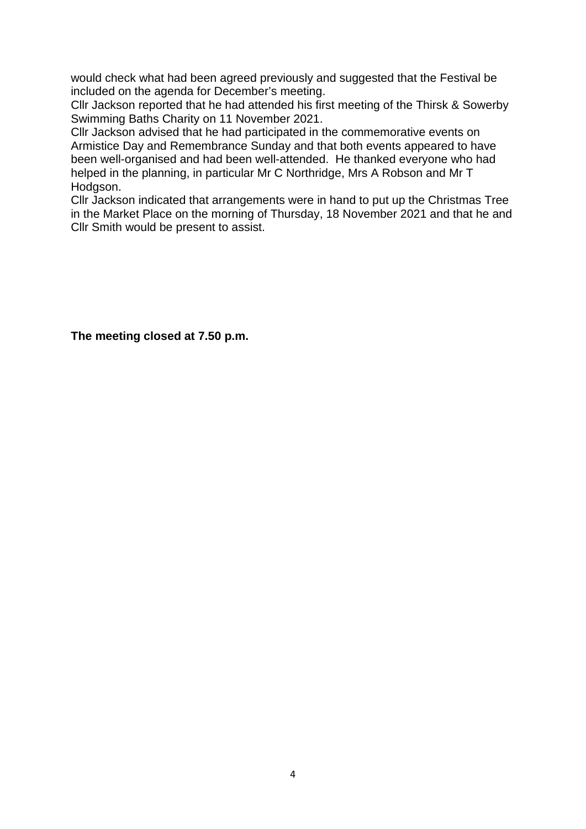would check what had been agreed previously and suggested that the Festival be included on the agenda for December's meeting.

Cllr Jackson reported that he had attended his first meeting of the Thirsk & Sowerby Swimming Baths Charity on 11 November 2021.

Cllr Jackson advised that he had participated in the commemorative events on Armistice Day and Remembrance Sunday and that both events appeared to have been well-organised and had been well-attended. He thanked everyone who had helped in the planning, in particular Mr C Northridge, Mrs A Robson and Mr T Hodgson.

Cllr Jackson indicated that arrangements were in hand to put up the Christmas Tree in the Market Place on the morning of Thursday, 18 November 2021 and that he and Cllr Smith would be present to assist.

**The meeting closed at 7.50 p.m.**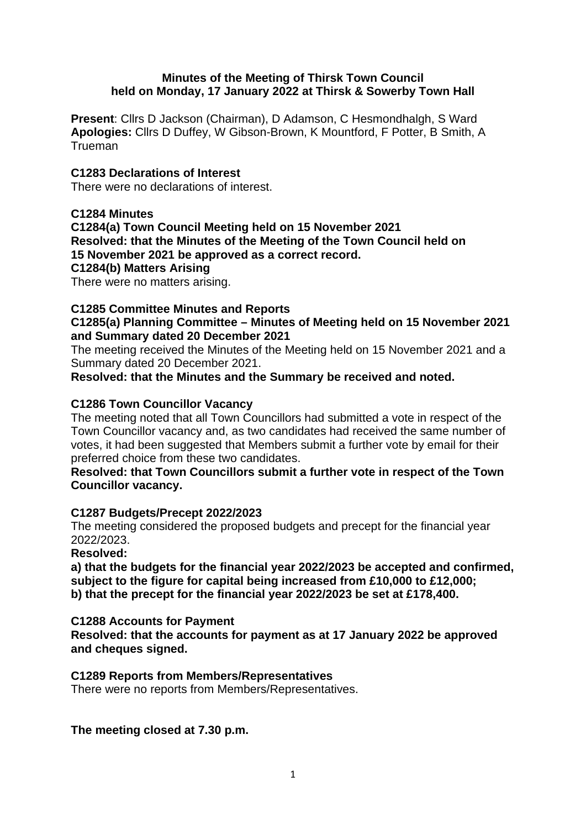#### **Minutes of the Meeting of Thirsk Town Council held on Monday, 17 January 2022 at Thirsk & Sowerby Town Hall**

**Present**: Cllrs D Jackson (Chairman), D Adamson, C Hesmondhalgh, S Ward **Apologies:** Cllrs D Duffey, W Gibson-Brown, K Mountford, F Potter, B Smith, A Trueman

### **C1283 Declarations of Interest**

There were no declarations of interest.

### **C1284 Minutes**

**C1284(a) Town Council Meeting held on 15 November 2021 Resolved: that the Minutes of the Meeting of the Town Council held on 15 November 2021 be approved as a correct record. C1284(b) Matters Arising**

There were no matters arising.

### **C1285 Committee Minutes and Reports**

**C1285(a) Planning Committee – Minutes of Meeting held on 15 November 2021 and Summary dated 20 December 2021**

The meeting received the Minutes of the Meeting held on 15 November 2021 and a Summary dated 20 December 2021.

**Resolved: that the Minutes and the Summary be received and noted.**

### **C1286 Town Councillor Vacancy**

The meeting noted that all Town Councillors had submitted a vote in respect of the Town Councillor vacancy and, as two candidates had received the same number of votes, it had been suggested that Members submit a further vote by email for their preferred choice from these two candidates.

**Resolved: that Town Councillors submit a further vote in respect of the Town Councillor vacancy.**

### **C1287 Budgets/Precept 2022/2023**

The meeting considered the proposed budgets and precept for the financial year 2022/2023.

**Resolved:**

**a) that the budgets for the financial year 2022/2023 be accepted and confirmed, subject to the figure for capital being increased from £10,000 to £12,000; b) that the precept for the financial year 2022/2023 be set at £178,400.**

### **C1288 Accounts for Payment**

**Resolved: that the accounts for payment as at 17 January 2022 be approved and cheques signed.**

### **C1289 Reports from Members/Representatives**

There were no reports from Members/Representatives.

**The meeting closed at 7.30 p.m.**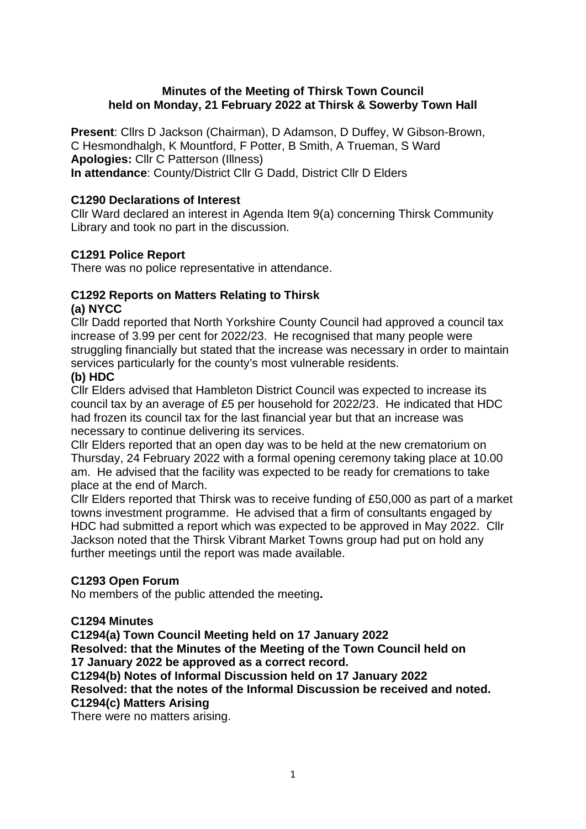### **Minutes of the Meeting of Thirsk Town Council held on Monday, 21 February 2022 at Thirsk & Sowerby Town Hall**

**Present**: Cllrs D Jackson (Chairman), D Adamson, D Duffey, W Gibson-Brown, C Hesmondhalgh, K Mountford, F Potter, B Smith, A Trueman, S Ward **Apologies:** Cllr C Patterson (Illness) **In attendance**: County/District Cllr G Dadd, District Cllr D Elders

### **C1290 Declarations of Interest**

Cllr Ward declared an interest in Agenda Item 9(a) concerning Thirsk Community Library and took no part in the discussion.

### **C1291 Police Report**

There was no police representative in attendance.

### **C1292 Reports on Matters Relating to Thirsk (a) NYCC**

Cllr Dadd reported that North Yorkshire County Council had approved a council tax increase of 3.99 per cent for 2022/23. He recognised that many people were struggling financially but stated that the increase was necessary in order to maintain services particularly for the county's most vulnerable residents.

### **(b) HDC**

Cllr Elders advised that Hambleton District Council was expected to increase its council tax by an average of £5 per household for 2022/23. He indicated that HDC had frozen its council tax for the last financial year but that an increase was necessary to continue delivering its services.

Cllr Elders reported that an open day was to be held at the new crematorium on Thursday, 24 February 2022 with a formal opening ceremony taking place at 10.00 am. He advised that the facility was expected to be ready for cremations to take place at the end of March.

Cllr Elders reported that Thirsk was to receive funding of £50,000 as part of a market towns investment programme. He advised that a firm of consultants engaged by HDC had submitted a report which was expected to be approved in May 2022. Cllr Jackson noted that the Thirsk Vibrant Market Towns group had put on hold any further meetings until the report was made available.

### **C1293 Open Forum**

No members of the public attended the meeting**.** 

### **C1294 Minutes**

**C1294(a) Town Council Meeting held on 17 January 2022 Resolved: that the Minutes of the Meeting of the Town Council held on 17 January 2022 be approved as a correct record. C1294(b) Notes of Informal Discussion held on 17 January 2022 Resolved: that the notes of the Informal Discussion be received and noted. C1294(c) Matters Arising**

There were no matters arising.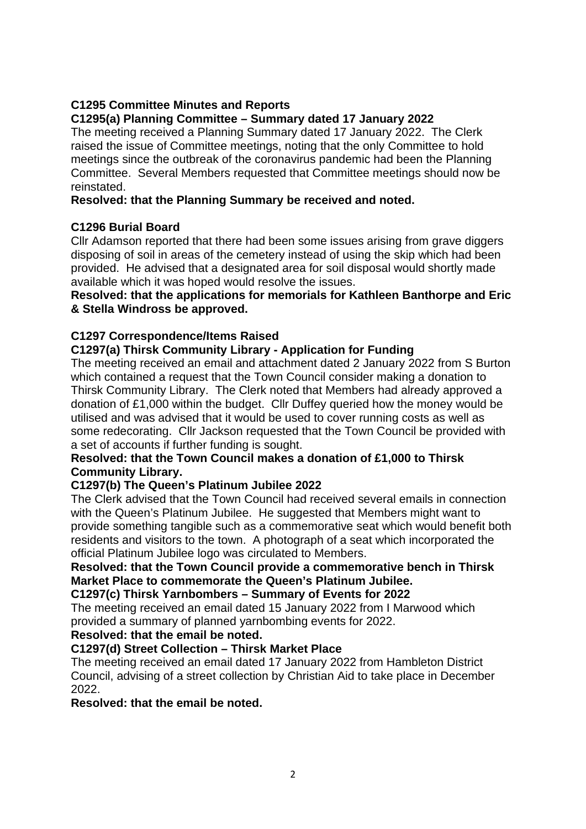# **C1295 Committee Minutes and Reports**

# **C1295(a) Planning Committee – Summary dated 17 January 2022**

The meeting received a Planning Summary dated 17 January 2022. The Clerk raised the issue of Committee meetings, noting that the only Committee to hold meetings since the outbreak of the coronavirus pandemic had been the Planning Committee. Several Members requested that Committee meetings should now be reinstated.

### **Resolved: that the Planning Summary be received and noted.**

### **C1296 Burial Board**

Cllr Adamson reported that there had been some issues arising from grave diggers disposing of soil in areas of the cemetery instead of using the skip which had been provided. He advised that a designated area for soil disposal would shortly made available which it was hoped would resolve the issues.

### **Resolved: that the applications for memorials for Kathleen Banthorpe and Eric & Stella Windross be approved.**

### **C1297 Correspondence/Items Raised**

### **C1297(a) Thirsk Community Library - Application for Funding**

The meeting received an email and attachment dated 2 January 2022 from S Burton which contained a request that the Town Council consider making a donation to Thirsk Community Library. The Clerk noted that Members had already approved a donation of £1,000 within the budget. Cllr Duffey queried how the money would be utilised and was advised that it would be used to cover running costs as well as some redecorating. Cllr Jackson requested that the Town Council be provided with a set of accounts if further funding is sought.

### **Resolved: that the Town Council makes a donation of £1,000 to Thirsk Community Library.**

### **C1297(b) The Queen's Platinum Jubilee 2022**

The Clerk advised that the Town Council had received several emails in connection with the Queen's Platinum Jubilee. He suggested that Members might want to provide something tangible such as a commemorative seat which would benefit both residents and visitors to the town. A photograph of a seat which incorporated the official Platinum Jubilee logo was circulated to Members.

### **Resolved: that the Town Council provide a commemorative bench in Thirsk Market Place to commemorate the Queen's Platinum Jubilee.**

### **C1297(c) Thirsk Yarnbombers – Summary of Events for 2022**

The meeting received an email dated 15 January 2022 from I Marwood which provided a summary of planned yarnbombing events for 2022.

### **Resolved: that the email be noted.**

### **C1297(d) Street Collection – Thirsk Market Place**

The meeting received an email dated 17 January 2022 from Hambleton District Council, advising of a street collection by Christian Aid to take place in December 2022.

**Resolved: that the email be noted.**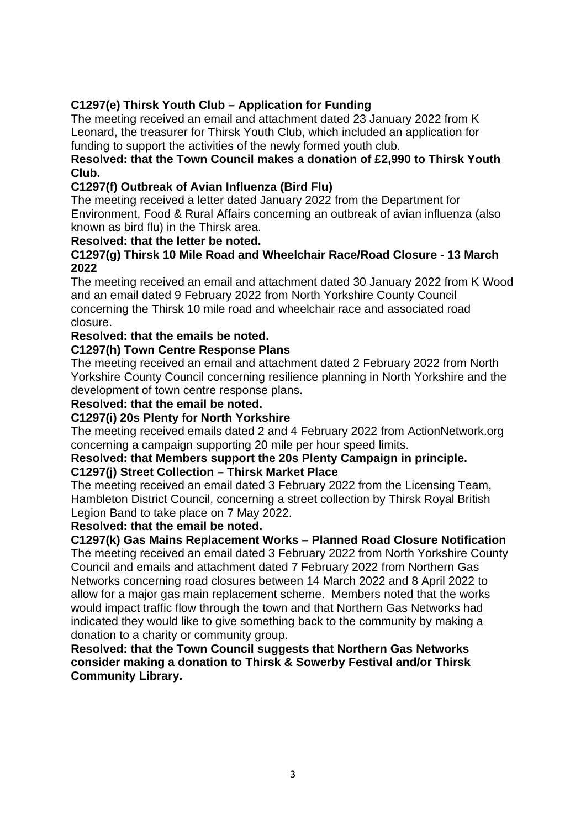### **C1297(e) Thirsk Youth Club – Application for Funding**

The meeting received an email and attachment dated 23 January 2022 from K Leonard, the treasurer for Thirsk Youth Club, which included an application for funding to support the activities of the newly formed youth club.

### **Resolved: that the Town Council makes a donation of £2,990 to Thirsk Youth Club.**

### **C1297(f) Outbreak of Avian Influenza (Bird Flu)**

The meeting received a letter dated January 2022 from the Department for Environment, Food & Rural Affairs concerning an outbreak of avian influenza (also known as bird flu) in the Thirsk area.

### **Resolved: that the letter be noted.**

### **C1297(g) Thirsk 10 Mile Road and Wheelchair Race/Road Closure - 13 March 2022**

The meeting received an email and attachment dated 30 January 2022 from K Wood and an email dated 9 February 2022 from North Yorkshire County Council concerning the Thirsk 10 mile road and wheelchair race and associated road closure.

### **Resolved: that the emails be noted.**

### **C1297(h) Town Centre Response Plans**

The meeting received an email and attachment dated 2 February 2022 from North Yorkshire County Council concerning resilience planning in North Yorkshire and the development of town centre response plans.

### **Resolved: that the email be noted.**

### **C1297(i) 20s Plenty for North Yorkshire**

The meeting received emails dated 2 and 4 February 2022 from ActionNetwork.org concerning a campaign supporting 20 mile per hour speed limits.

# **Resolved: that Members support the 20s Plenty Campaign in principle.**

### **C1297(j) Street Collection – Thirsk Market Place**

The meeting received an email dated 3 February 2022 from the Licensing Team, Hambleton District Council, concerning a street collection by Thirsk Royal British Legion Band to take place on 7 May 2022.

### **Resolved: that the email be noted.**

### **C1297(k) Gas Mains Replacement Works – Planned Road Closure Notification**

The meeting received an email dated 3 February 2022 from North Yorkshire County Council and emails and attachment dated 7 February 2022 from Northern Gas Networks concerning road closures between 14 March 2022 and 8 April 2022 to allow for a major gas main replacement scheme. Members noted that the works would impact traffic flow through the town and that Northern Gas Networks had indicated they would like to give something back to the community by making a donation to a charity or community group.

**Resolved: that the Town Council suggests that Northern Gas Networks consider making a donation to Thirsk & Sowerby Festival and/or Thirsk Community Library.**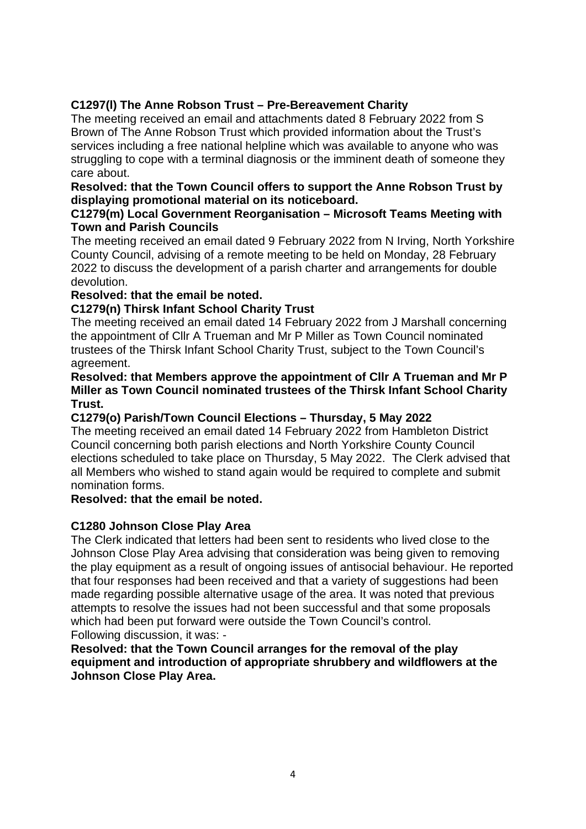# **C1297(l) The Anne Robson Trust – Pre-Bereavement Charity**

The meeting received an email and attachments dated 8 February 2022 from S Brown of The Anne Robson Trust which provided information about the Trust's services including a free national helpline which was available to anyone who was struggling to cope with a terminal diagnosis or the imminent death of someone they care about.

### **Resolved: that the Town Council offers to support the Anne Robson Trust by displaying promotional material on its noticeboard.**

### **C1279(m) Local Government Reorganisation – Microsoft Teams Meeting with Town and Parish Councils**

The meeting received an email dated 9 February 2022 from N Irving, North Yorkshire County Council, advising of a remote meeting to be held on Monday, 28 February 2022 to discuss the development of a parish charter and arrangements for double devolution.

### **Resolved: that the email be noted.**

### **C1279(n) Thirsk Infant School Charity Trust**

The meeting received an email dated 14 February 2022 from J Marshall concerning the appointment of Cllr A Trueman and Mr P Miller as Town Council nominated trustees of the Thirsk Infant School Charity Trust, subject to the Town Council's agreement.

### **Resolved: that Members approve the appointment of Cllr A Trueman and Mr P Miller as Town Council nominated trustees of the Thirsk Infant School Charity Trust.**

### **C1279(o) Parish/Town Council Elections – Thursday, 5 May 2022**

The meeting received an email dated 14 February 2022 from Hambleton District Council concerning both parish elections and North Yorkshire County Council elections scheduled to take place on Thursday, 5 May 2022. The Clerk advised that all Members who wished to stand again would be required to complete and submit nomination forms.

### **Resolved: that the email be noted.**

### **C1280 Johnson Close Play Area**

The Clerk indicated that letters had been sent to residents who lived close to the Johnson Close Play Area advising that consideration was being given to removing the play equipment as a result of ongoing issues of antisocial behaviour. He reported that four responses had been received and that a variety of suggestions had been made regarding possible alternative usage of the area. It was noted that previous attempts to resolve the issues had not been successful and that some proposals which had been put forward were outside the Town Council's control. Following discussion, it was: -

**Resolved: that the Town Council arranges for the removal of the play equipment and introduction of appropriate shrubbery and wildflowers at the Johnson Close Play Area.**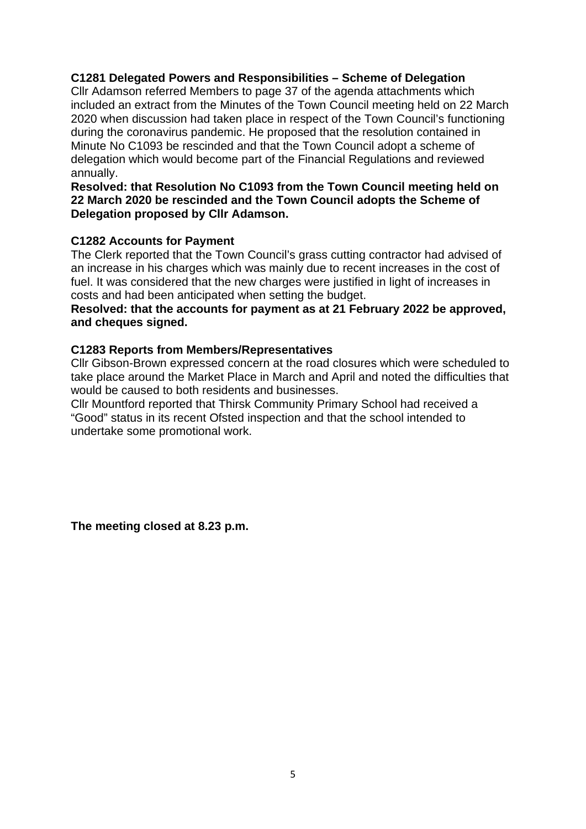### **C1281 Delegated Powers and Responsibilities – Scheme of Delegation**

Cllr Adamson referred Members to page 37 of the agenda attachments which included an extract from the Minutes of the Town Council meeting held on 22 March 2020 when discussion had taken place in respect of the Town Council's functioning during the coronavirus pandemic. He proposed that the resolution contained in Minute No C1093 be rescinded and that the Town Council adopt a scheme of delegation which would become part of the Financial Regulations and reviewed annually.

**Resolved: that Resolution No C1093 from the Town Council meeting held on 22 March 2020 be rescinded and the Town Council adopts the Scheme of Delegation proposed by Cllr Adamson.**

#### **C1282 Accounts for Payment**

The Clerk reported that the Town Council's grass cutting contractor had advised of an increase in his charges which was mainly due to recent increases in the cost of fuel. It was considered that the new charges were justified in light of increases in costs and had been anticipated when setting the budget.

#### **Resolved: that the accounts for payment as at 21 February 2022 be approved, and cheques signed.**

### **C1283 Reports from Members/Representatives**

Cllr Gibson-Brown expressed concern at the road closures which were scheduled to take place around the Market Place in March and April and noted the difficulties that would be caused to both residents and businesses.

Cllr Mountford reported that Thirsk Community Primary School had received a "Good" status in its recent Ofsted inspection and that the school intended to undertake some promotional work.

**The meeting closed at 8.23 p.m.**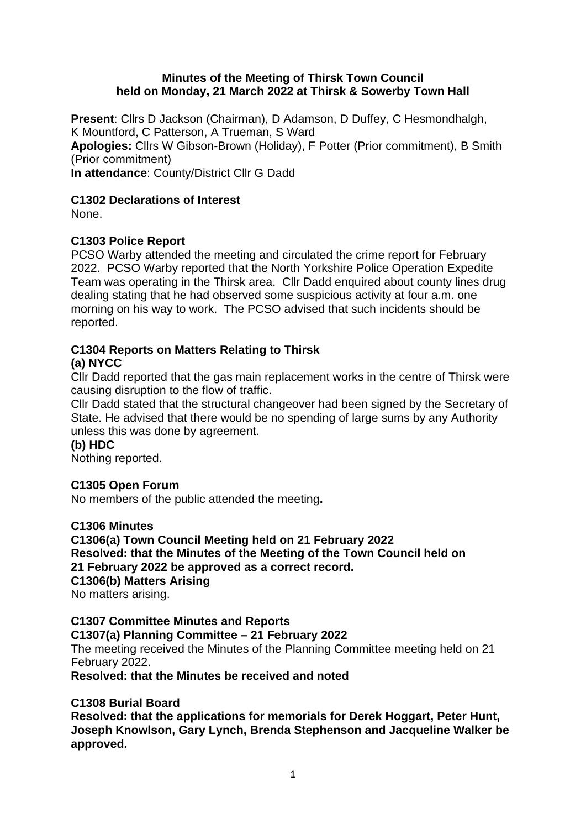### **Minutes of the Meeting of Thirsk Town Council held on Monday, 21 March 2022 at Thirsk & Sowerby Town Hall**

**Present**: Cllrs D Jackson (Chairman), D Adamson, D Duffey, C Hesmondhalgh, K Mountford, C Patterson, A Trueman, S Ward **Apologies:** Cllrs W Gibson-Brown (Holiday), F Potter (Prior commitment), B Smith (Prior commitment) **In attendance**: County/District Cllr G Dadd

### **C1302 Declarations of Interest**

None.

### **C1303 Police Report**

PCSO Warby attended the meeting and circulated the crime report for February 2022. PCSO Warby reported that the North Yorkshire Police Operation Expedite Team was operating in the Thirsk area. Cllr Dadd enquired about county lines drug dealing stating that he had observed some suspicious activity at four a.m. one morning on his way to work. The PCSO advised that such incidents should be reported.

### **C1304 Reports on Matters Relating to Thirsk (a) NYCC**

Cllr Dadd reported that the gas main replacement works in the centre of Thirsk were causing disruption to the flow of traffic.

Cllr Dadd stated that the structural changeover had been signed by the Secretary of State. He advised that there would be no spending of large sums by any Authority unless this was done by agreement.

**(b) HDC**

Nothing reported.

### **C1305 Open Forum**

No members of the public attended the meeting**.** 

### **C1306 Minutes**

**C1306(a) Town Council Meeting held on 21 February 2022 Resolved: that the Minutes of the Meeting of the Town Council held on 21 February 2022 be approved as a correct record. C1306(b) Matters Arising** No matters arising.

**C1307 Committee Minutes and Reports C1307(a) Planning Committee – 21 February 2022** The meeting received the Minutes of the Planning Committee meeting held on 21 February 2022. **Resolved: that the Minutes be received and noted**

### **C1308 Burial Board**

**Resolved: that the applications for memorials for Derek Hoggart, Peter Hunt, Joseph Knowlson, Gary Lynch, Brenda Stephenson and Jacqueline Walker be approved.**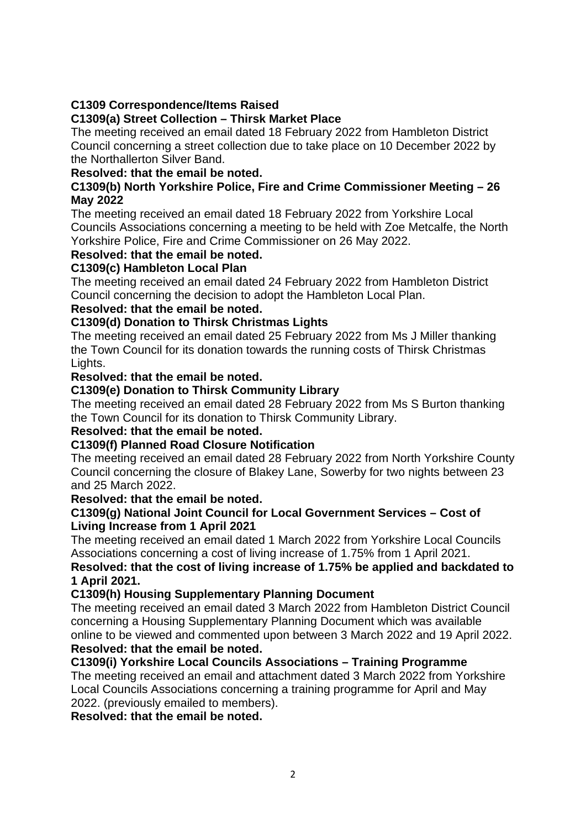# **C1309 Correspondence/Items Raised**

### **C1309(a) Street Collection – Thirsk Market Place**

The meeting received an email dated 18 February 2022 from Hambleton District Council concerning a street collection due to take place on 10 December 2022 by the Northallerton Silver Band.

### **Resolved: that the email be noted.**

### **C1309(b) North Yorkshire Police, Fire and Crime Commissioner Meeting – 26 May 2022**

The meeting received an email dated 18 February 2022 from Yorkshire Local Councils Associations concerning a meeting to be held with Zoe Metcalfe, the North Yorkshire Police, Fire and Crime Commissioner on 26 May 2022.

### **Resolved: that the email be noted.**

### **C1309(c) Hambleton Local Plan**

The meeting received an email dated 24 February 2022 from Hambleton District Council concerning the decision to adopt the Hambleton Local Plan.

### **Resolved: that the email be noted.**

### **C1309(d) Donation to Thirsk Christmas Lights**

The meeting received an email dated 25 February 2022 from Ms J Miller thanking the Town Council for its donation towards the running costs of Thirsk Christmas Lights.

### **Resolved: that the email be noted.**

### **C1309(e) Donation to Thirsk Community Library**

The meeting received an email dated 28 February 2022 from Ms S Burton thanking the Town Council for its donation to Thirsk Community Library.

### **Resolved: that the email be noted.**

### **C1309(f) Planned Road Closure Notification**

The meeting received an email dated 28 February 2022 from North Yorkshire County Council concerning the closure of Blakey Lane, Sowerby for two nights between 23 and 25 March 2022.

### **Resolved: that the email be noted.**

### **C1309(g) National Joint Council for Local Government Services – Cost of Living Increase from 1 April 2021**

The meeting received an email dated 1 March 2022 from Yorkshire Local Councils Associations concerning a cost of living increase of 1.75% from 1 April 2021.

### **Resolved: that the cost of living increase of 1.75% be applied and backdated to 1 April 2021.**

### **C1309(h) Housing Supplementary Planning Document**

The meeting received an email dated 3 March 2022 from Hambleton District Council concerning a Housing Supplementary Planning Document which was available online to be viewed and commented upon between 3 March 2022 and 19 April 2022.

# **Resolved: that the email be noted.**

# **C1309(i) Yorkshire Local Councils Associations – Training Programme**

The meeting received an email and attachment dated 3 March 2022 from Yorkshire Local Councils Associations concerning a training programme for April and May 2022. (previously emailed to members).

**Resolved: that the email be noted.**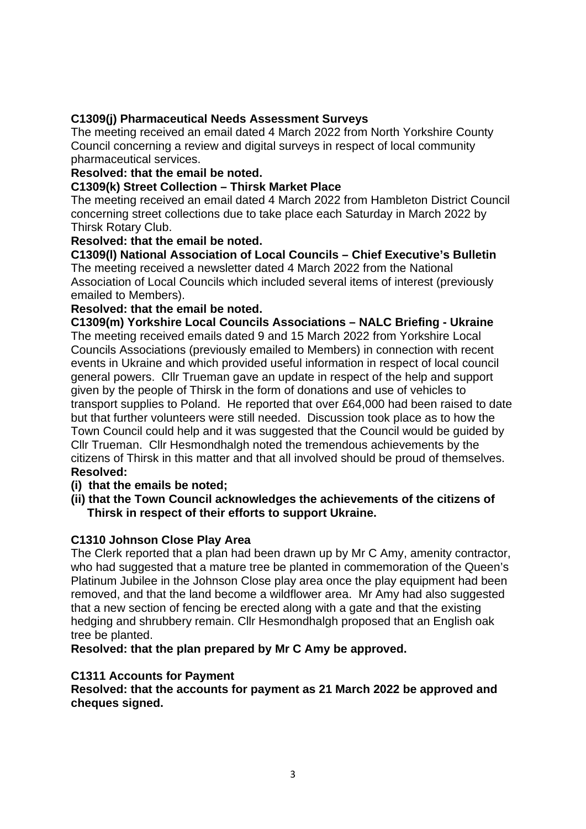# **C1309(j) Pharmaceutical Needs Assessment Surveys**

The meeting received an email dated 4 March 2022 from North Yorkshire County Council concerning a review and digital surveys in respect of local community pharmaceutical services.

### **Resolved: that the email be noted.**

### **C1309(k) Street Collection – Thirsk Market Place**

The meeting received an email dated 4 March 2022 from Hambleton District Council concerning street collections due to take place each Saturday in March 2022 by Thirsk Rotary Club.

### **Resolved: that the email be noted.**

**C1309(l) National Association of Local Councils – Chief Executive's Bulletin** The meeting received a newsletter dated 4 March 2022 from the National Association of Local Councils which included several items of interest (previously emailed to Members).

### **Resolved: that the email be noted.**

**C1309(m) Yorkshire Local Councils Associations – NALC Briefing - Ukraine** The meeting received emails dated 9 and 15 March 2022 from Yorkshire Local Councils Associations (previously emailed to Members) in connection with recent events in Ukraine and which provided useful information in respect of local council general powers. Cllr Trueman gave an update in respect of the help and support given by the people of Thirsk in the form of donations and use of vehicles to transport supplies to Poland. He reported that over £64,000 had been raised to date but that further volunteers were still needed. Discussion took place as to how the Town Council could help and it was suggested that the Council would be guided by Cllr Trueman. Cllr Hesmondhalgh noted the tremendous achievements by the citizens of Thirsk in this matter and that all involved should be proud of themselves. **Resolved:**

### **(i) that the emails be noted;**

**(ii) that the Town Council acknowledges the achievements of the citizens of Thirsk in respect of their efforts to support Ukraine.**

### **C1310 Johnson Close Play Area**

The Clerk reported that a plan had been drawn up by Mr C Amy, amenity contractor, who had suggested that a mature tree be planted in commemoration of the Queen's Platinum Jubilee in the Johnson Close play area once the play equipment had been removed, and that the land become a wildflower area. Mr Amy had also suggested that a new section of fencing be erected along with a gate and that the existing hedging and shrubbery remain. Cllr Hesmondhalgh proposed that an English oak tree be planted.

**Resolved: that the plan prepared by Mr C Amy be approved.**

### **C1311 Accounts for Payment**

**Resolved: that the accounts for payment as 21 March 2022 be approved and cheques signed.**